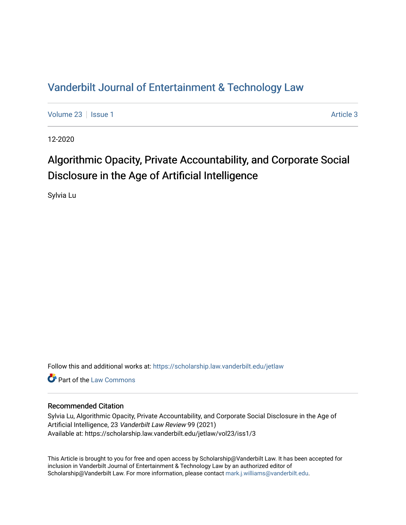## [Vanderbilt Journal of Entertainment & Technology Law](https://scholarship.law.vanderbilt.edu/jetlaw)

[Volume 23](https://scholarship.law.vanderbilt.edu/jetlaw/vol23) | [Issue 1](https://scholarship.law.vanderbilt.edu/jetlaw/vol23/iss1) [Article 3](https://scholarship.law.vanderbilt.edu/jetlaw/vol23/iss1/3) | Article 3 | Article 3 | Article 3 | Article 3 | Article 3 | Article 3 | Article 3 | Article 3 | Article 3 | Article 3 | Article 3 | Article 3 | Article 3 | Article 3 | Article 3 | Article 3

12-2020

## Algorithmic Opacity, Private Accountability, and Corporate Social Disclosure in the Age of Artificial Intelligence

Sylvia Lu

Follow this and additional works at: [https://scholarship.law.vanderbilt.edu/jetlaw](https://scholarship.law.vanderbilt.edu/jetlaw?utm_source=scholarship.law.vanderbilt.edu%2Fjetlaw%2Fvol23%2Fiss1%2F3&utm_medium=PDF&utm_campaign=PDFCoverPages)

**C** Part of the [Law Commons](http://network.bepress.com/hgg/discipline/578?utm_source=scholarship.law.vanderbilt.edu%2Fjetlaw%2Fvol23%2Fiss1%2F3&utm_medium=PDF&utm_campaign=PDFCoverPages)

## Recommended Citation

Sylvia Lu, Algorithmic Opacity, Private Accountability, and Corporate Social Disclosure in the Age of Artificial Intelligence, 23 Vanderbilt Law Review 99 (2021) Available at: https://scholarship.law.vanderbilt.edu/jetlaw/vol23/iss1/3

This Article is brought to you for free and open access by Scholarship@Vanderbilt Law. It has been accepted for inclusion in Vanderbilt Journal of Entertainment & Technology Law by an authorized editor of Scholarship@Vanderbilt Law. For more information, please contact [mark.j.williams@vanderbilt.edu](mailto:mark.j.williams@vanderbilt.edu).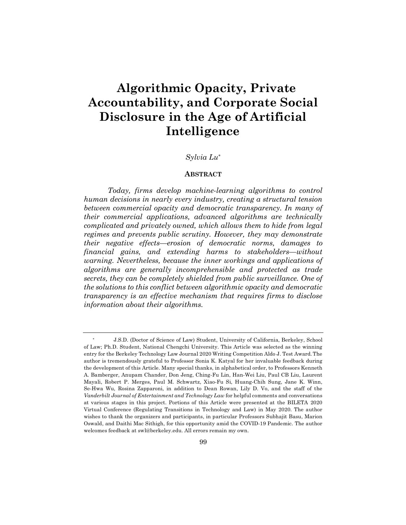# **Algorithmic Opacity, Private Accountability, and Corporate Social Disclosure in the Age of Artificial Intelligence**

## *Sylvia Lu\**

#### **ABSTRACT**

*Today, firms develop machine-learning algorithms to control human decisions in nearly every industry, creating a structural tension between commercial opacity and democratic transparency. In many of their commercial applications, advanced algorithms are technically complicated and privately owned, which allows them to hide from legal regimes and prevents public scrutiny. However, they may demonstrate their negative effects—erosion of democratic norms, damages to financial gains, and extending harms to stakeholders—without warning. Nevertheless, because the inner workings and applications of algorithms are generally incomprehensible and protected as trade secrets, they can be completely shielded from public surveillance. One of the solutions to this conflict between algorithmic opacity and democratic transparency is an effective mechanism that requires firms to disclose information about their algorithms.*

<sup>\*</sup> J.S.D. (Doctor of Science of Law) Student, University of California, Berkeley, School of Law; Ph.D. Student, National Chengchi University. This Article was selected as the winning entry for the Berkeley Technology Law Journal 2020 Writing Competition Aldo J. Test Award.The author is tremendously grateful to Professor Sonia K. Katyal for her invaluable feedback during the development of this Article. Many special thanks, in alphabetical order, to Professors Kenneth A. Bamberger, Anupam Chander, Don Jeng, Ching-Fu Lin, Han-Wei Liu, Paul CB Liu, Laurent Mayali, Robert P. Merges, Paul M. Schwartz, Xiao-Fu Si, Huang-Chih Sung, Jane K. Winn, Se-Hwa Wu, Rosina Zapparoni, in addition to Dean Rowan, Lily D. Vo, and the staff of the *Vanderbilt Journal of Entertainment and Technology Law* for helpful comments and conversations at various stages in this project. Portions of this Article were presented at the BILETA 2020 Virtual Conference (Regulating Transitions in Technology and Law) in May 2020. The author wishes to thank the organizers and participants, in particular Professors Subhajit Basu, Marion Oswald, and Daithi Mac Sithigh, for this opportunity amid the COVID-19 Pandemic. The author welcomes feedback at swl@berkeley.edu. All errors remain my own.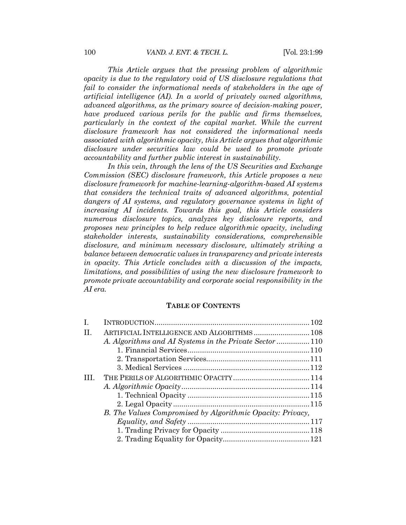*This Article argues that the pressing problem of algorithmic opacity is due to the regulatory void of US disclosure regulations that*  fail to consider the informational needs of stakeholders in the age of *artificial intelligence (AI). In a world of privately owned algorithms, advanced algorithms, as the primary source of decision-making power, have produced various perils for the public and firms themselves, particularly in the context of the capital market. While the current disclosure framework has not considered the informational needs associated with algorithmic opacity, this Article argues that algorithmic disclosure under securities law could be used to promote private accountability and further public interest in sustainability.*

*In this vein, through the lens of the US Securities and Exchange Commission (SEC) disclosure framework, this Article proposes a new disclosure framework for machine-learning-algorithm-based AI systems that considers the technical traits of advanced algorithms, potential dangers of AI systems, and regulatory governance systems in light of increasing AI incidents. Towards this goal, this Article considers numerous disclosure topics, analyzes key disclosure reports, and proposes new principles to help reduce algorithmic opacity, including stakeholder interests, sustainability considerations, comprehensible disclosure, and minimum necessary disclosure, ultimately striking a balance between democratic values in transparency and private interests in opacity. This Article concludes with a discussion of the impacts, limitations, and possibilities of using the new disclosure framework to promote private accountability and corporate social responsibility in the AI era.*

## **TABLE OF CONTENTS**

| Ι.  |                                                            |  |
|-----|------------------------------------------------------------|--|
| II. | ARTIFICIAL INTELLIGENCE AND ALGORITHMS 108                 |  |
|     |                                                            |  |
|     |                                                            |  |
|     |                                                            |  |
|     |                                                            |  |
|     |                                                            |  |
|     |                                                            |  |
|     |                                                            |  |
|     |                                                            |  |
|     | B. The Values Compromised by Algorithmic Opacity: Privacy, |  |
|     |                                                            |  |
|     |                                                            |  |
|     |                                                            |  |
|     |                                                            |  |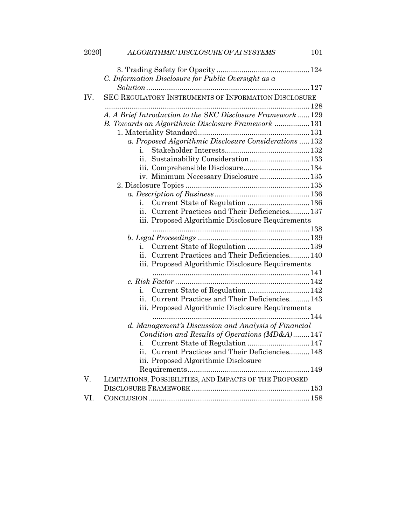| 2020] | ALGORITHMIC DISCLOSURE OF AI SYSTEMS<br>101                |
|-------|------------------------------------------------------------|
|       |                                                            |
|       | C. Information Disclosure for Public Oversight as a        |
|       |                                                            |
| IV.   | SEC REGULATORY INSTRUMENTS OF INFORMATION DISCLOSURE       |
|       |                                                            |
|       | A. A Brief Introduction to the SEC Disclosure Framework129 |
|       | B. Towards an Algorithmic Disclosure Framework  131        |
|       |                                                            |
|       | a. Proposed Algorithmic Disclosure Considerations  132     |
|       | $\mathbf{1}$ .                                             |
|       | Sustainability Consideration133<br>11.                     |
|       |                                                            |
|       | iv. Minimum Necessary Disclosure135                        |
|       |                                                            |
|       |                                                            |
|       | i.                                                         |
|       | Current Practices and Their Deficiencies 137<br>ii.        |
|       | iii. Proposed Algorithmic Disclosure Requirements          |
|       |                                                            |
|       |                                                            |
|       | 1.                                                         |
|       | ii. Current Practices and Their Deficiencies 140           |
|       | iii. Proposed Algorithmic Disclosure Requirements          |
|       |                                                            |
|       |                                                            |
|       | Current State of Regulation 142<br>1.                      |
|       | Current Practices and Their Deficiencies 143<br>11.        |
|       | iii. Proposed Algorithmic Disclosure Requirements          |
|       |                                                            |
|       | d. Management's Discussion and Analysis of Financial       |
|       | Condition and Results of Operations (MD&A)147              |
|       |                                                            |
|       | ii. Current Practices and Their Deficiencies148            |
|       | iii. Proposed Algorithmic Disclosure                       |
|       |                                                            |
| V.    | LIMITATIONS, POSSIBILITIES, AND IMPACTS OF THE PROPOSED    |
|       |                                                            |
| VI.   |                                                            |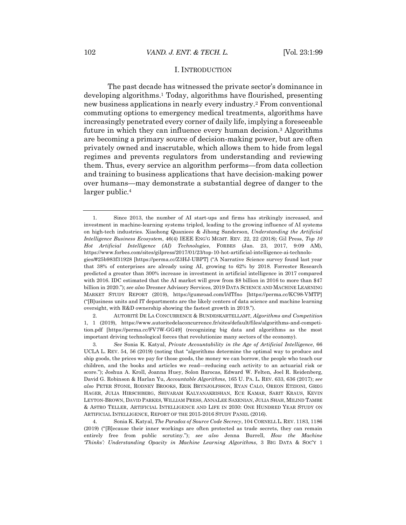#### I. INTRODUCTION

The past decade has witnessed the private sector's dominance in developing algorithms.1 Today, algorithms have flourished, presenting new business applications in nearly every industry.2 From conventional commuting options to emergency medical treatments, algorithms have increasingly penetrated every corner of daily life, implying a foreseeable future in which they can influence every human decision.3 Algorithms are becoming a primary source of decision-making power, but are often privately owned and inscrutable, which allows them to hide from legal regimes and prevents regulators from understanding and reviewing them. Thus, every service an algorithm performs—from data collection and training to business applications that have decision-making power over humans—may demonstrate a substantial degree of danger to the larger public.<sup>4</sup>

<sup>1.</sup> Since 2013, the number of AI start-ups and firms has strikingly increased, and investment in machine-learning systems tripled, leading to the growing influence of AI systems on high-tech industries. Xiaohong Quanieee & Jihong Sanderson, *Understanding the Artificial Intelligence Business Ecosystem*, 46(4) IEEE ENG'G MGMT. REV. 22, 22 (2018); Gil Press, *Top 10 Hot Artificial Intelligence (AI) Technologies*, FORBES (Jan. 23, 2017, 9:09 AM), https://www.forbes.com/sites/gilpress/2017/01/23/top-10-hot-artificial-intelligence-ai-technologies/#25b983f31928 [https://perma.cc/Z3HJ-UBPT] ("A Narrative Science survey found last year that 38% of enterprises are already using AI, growing to 62% by 2018. Forrester Research predicted a greater than 300% increase in investment in artificial intelligence in 2017 compared with 2016. IDC estimated that the AI market will grow from \$8 billion in 2016 to more than \$47 billion in 2020."); *see also* Dresner Advisory Services, 2019 DATA SCIENCE AND MACHINE LEARNING MARKET STUDY REPORT (2019), https://gumroad.com/l/dTfno [https://perma.cc/KC98-VMTP] ("[B]usiness units and IT departments are the likely centers of data science and machine learning oversight, with R&D ownership showing the fastest growth in 2019.").

<sup>2.</sup> AUTORITÉ DE LA CONCURRENCE & BUNDESKARTELLAMT, *Algorithms and Competition* 1, 1 (2019), https://www.autoritedelaconcurrence.fr/sites/default/files/algorithms-and-competition.pdf [https://perma.cc/FV7W-GG49] (recognizing big data and algorithms as the most important driving technological forces that revolutionize many sectors of the economy).

<sup>3</sup>*. See* Sonia K. Katyal, *Private Accountability in the Age of Artificial Intelligence*, 66 UCLA L. REV. 54, 56 (2019) (noting that "algorithms determine the optimal way to produce and ship goods, the prices we pay for those goods, the money we can borrow, the people who teach our children, and the books and articles we read—reducing each activity to an actuarial risk or score."); Joshua A. Kroll, Joanna Huey, Solon Barocas, Edward W. Felten, Joel R. Reidenberg, David G. Robinson & Harlan Yu, *Accountable Algorithms*, 165 U. PA. L. REV. 633, 636 (2017); *see also* PETER STONE, RODNEY BROOKS, ERIK BRYNJOLFSSON, RYAN CALO, OREON ETZIONI, GREG HAGER, JULIA HIRSCHBERG, SHIVARAM KALYANAKRISHAN, ECE KAMAR, SARIT KRAUS, KEVIN LEYTON-BROWN, DAVID PARKES, WILLIAM PRESS, ANNALEE SAXENIAN, JULIA SHAH, MILIND TAMBE & ASTRO TELLER, ARTIFICIAL INTELLIGENCE AND LIFE IN 2030: ONE HUNDRED YEAR STUDY ON ARTIFICIAL INTELLIGENCE, REPORT OF THE 2015-2016 STUDY PANEL (2016).

<sup>4.</sup> Sonia K. Katyal, *The Paradox of Source Code Secrecy*, 104 CORNELL L. REV. 1183, 1186 (2019) ("[B]ecause their inner workings are often protected as trade secrets, they can remain entirely free from public scrutiny."); *see also* Jenna Burrell, *How the Machine 'Thinks': Understanding Opacity in Machine Learning Algorithms*, 3 BIG DATA & SOC'Y 1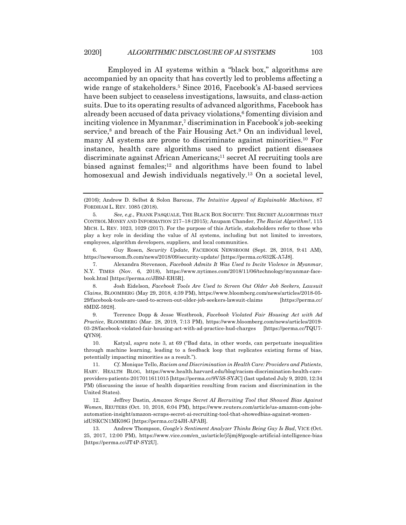Employed in AI systems within a "black box," algorithms are accompanied by an opacity that has covertly led to problems affecting a wide range of stakeholders.5 Since 2016, Facebook's AI-based services have been subject to ceaseless investigations, lawsuits, and class-action suits. Due to its operating results of advanced algorithms, Facebook has already been accused of data privacy violations, $6$  fomenting division and inciting violence in Myanmar,7 discrimination in Facebook's job-seeking service,<sup>8</sup> and breach of the Fair Housing Act.<sup>9</sup> On an individual level, many AI systems are prone to discriminate against minorities.10 For instance, health care algorithms used to predict patient diseases discriminate against African Americans;<sup>11</sup> secret AI recruiting tools are biased against females;12 and algorithms have been found to label homosexual and Jewish individuals negatively.13 On a societal level,

6. Guy Rosen, *Security Update*, FACEBOOK NEWSROOM (Sept. 28, 2018, 9:41 AM), https://newsroom.fb.com/news/2018/09/security-update/ [https://perma.cc/632K-A7J8].

7. Alexandra Stevenson, *Facebook Admits It Was Used to Incite Violence in Myanmar*, N.Y. TIMES (Nov. 6, 2018), https://www.nytimes.com/2018/11/06/technology/myanmar-facebook.html [https://perma.cc/JB9J-EH5R].

8. Josh Eidelson, *Facebook Tools Are Used to Screen Out Older Job Seekers, Lawsuit Claims*, BLOOMBERG (May 29, 2018, 4:39 PM), https://www.bloomberg.com/news/articles/2018-05- 29/facebook-tools-are-used-to-screen-out-older-job-seekers-lawsuit-claims [https://perma.cc/ 8MDZ-5928].

9. Terrence Dopp & Jesse Westbrook, *Facebook Violated Fair Housing Act with Ad Practice*, BLOOMBERG (Mar. 28, 2019, 7:13 PM), https://www.bloomberg.com/news/articles/2019- 03-28/facebook-violated-fair-housing-act-with-ad-practice-hud-charges [https://perma.cc/TQU7- QYN9].

10. Katyal, *supra* note 3, at 69 ("Bad data, in other words, can perpetuate inequalities through machine learning, leading to a feedback loop that replicates existing forms of bias, potentially impacting minorities as a result.").

11*. Cf.* Monique Tello, *Racism and Discrimination in Health Care: Providers and Patients*, HARV. HEALTH BLOG, https://www.health.harvard.edu/blog/racism-discrimination-health-careproviders-patients-2017011611015 [https://perma.cc/9V5S-SYJC] (last updated July 9, 2020, 12:34 PM) (discussing the issue of health disparities resulting from racism and discrimination in the United States).

12. Jeffrey Dastin, *Amazon Scraps Secret AI Recruiting Tool that Showed Bias Against Women*, REUTERS (Oct. 10, 2018, 6:04 PM), https://www.reuters.com/article/us-amazon-com-jobsautomation-insight/amazon-scraps-secret-ai-recruiting-tool-that-showedbias-against-womenidUSKCN1MK08G [https://perma.cc/24JH-APAB].

13. Andrew Thompson, *Google's Sentiment Analyzer Thinks Being Gay Is Bad*, VICE (Oct. 25, 2017, 12:00 PM), https://www.vice.com/en\_us/article/j5jmj8/google-artificial-intelligence-bias [https://perma.cc/JT4P-SY2U].

<sup>(2016);</sup> Andrew D. Selbst & Solon Barocas, *The Intuitive Appeal of Explainable Machines*, 87 FORDHAM L. REV. 1085 (2018).

<sup>5</sup>*. See, e.g.*, FRANK PASQUALE, THE BLACK BOX SOCIETY: THE SECRET ALGORITHMS THAT CONTROL MONEY AND INFORMATION 217–18 (2015); Anupam Chander, *The Racist Algorithm?*, 115 MICH. L. REV. 1023, 1029 (2017). For the purpose of this Article, stakeholders refer to those who play a key role in deciding the value of AI systems, including but not limited to investors, employees, algorithm developers, suppliers, and local communities.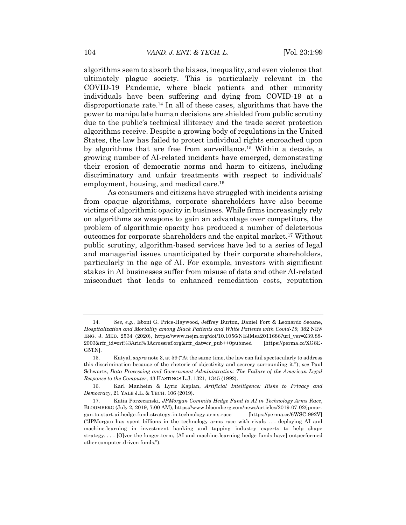algorithms seem to absorb the biases, inequality, and even violence that ultimately plague society. This is particularly relevant in the COVID-19 Pandemic, where black patients and other minority individuals have been suffering and dying from COVID-19 at a disproportionate rate.<sup>14</sup> In all of these cases, algorithms that have the power to manipulate human decisions are shielded from public scrutiny due to the public's technical illiteracy and the trade secret protection algorithms receive. Despite a growing body of regulations in the United States, the law has failed to protect individual rights encroached upon by algorithms that are free from surveillance.15 Within a decade, a growing number of AI-related incidents have emerged, demonstrating their erosion of democratic norms and harm to citizens, including discriminatory and unfair treatments with respect to individuals' employment, housing, and medical care.16

As consumers and citizens have struggled with incidents arising from opaque algorithms, corporate shareholders have also become victims of algorithmic opacity in business. While firms increasingly rely on algorithms as weapons to gain an advantage over competitors, the problem of algorithmic opacity has produced a number of deleterious outcomes for corporate shareholders and the capital market.17 Without public scrutiny, algorithm-based services have led to a series of legal and managerial issues unanticipated by their corporate shareholders, particularly in the age of AI. For example, investors with significant stakes in AI businesses suffer from misuse of data and other AI-related misconduct that leads to enhanced remediation costs, reputation

<sup>14</sup>*. See, e.g.*, Eboni G. Price-Haywood, Jeffrey Burton, Daniel Fort & Leonardo Seoane, *Hospitalization and Mortality among Black Patients and White Patients with Covid-19*, 382 NEW ENG. J. MED. 2534 (2020), https://www.nejm.org/doi/10.1056/NEJMsa2011686?url\_ver=Z39.88- 2003&rfr\_id=ori%3Arid%3Acrossref.org&rfr\_dat=cr\_pub++0pubmed [https://perma.cc/XG8E-G5TN].

<sup>15.</sup> Katyal, *supra* note 3, at 59 ("At the same time, the law can fail spectacularly to address this discrimination because of the rhetoric of objectivity and secrecy surrounding it."); *see* Paul Schwartz, *Data Processing and Government Administration: The Failure of the American Legal Response to the Computer*, 43 HASTINGS L.J. 1321, 1345 (1992).

<sup>16.</sup> Karl Manheim & Lyric Kaplan, *Artificial Intelligence: Risks to Privacy and Democracy*, 21 YALE J.L. & TECH. 106 (2019).

<sup>17.</sup> Katia Porzecanski, *JPMorgan Commits Hedge Fund to AI in Technology Arms Race*, BLOOMBERG (July 2, 2019, 7:00 AM), https://www.bloomberg.com/news/articles/2019-07-02/jpmorgan-to-start-ai-hedge-fund-strategy-in-technology-arms-race [https://perma.cc/6WSC-992V] ("JPMorgan has spent billions in the technology arms race with rivals . . . deploying AI and machine-learning in investment banking and tapping industry experts to help shape strategy. . . . [O]ver the longer-term, [AI and machine-learning hedge funds have] outperformed other computer-driven funds.").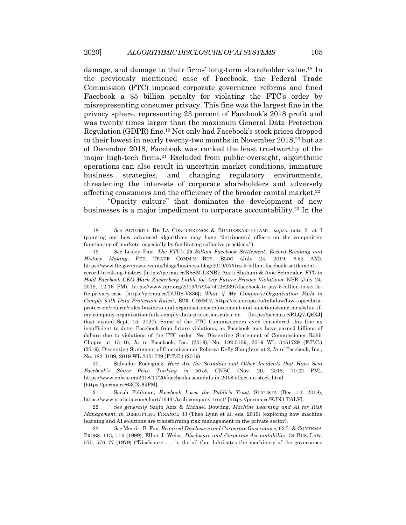damage, and damage to their firms' long-term shareholder value.18 In the previously mentioned case of Facebook, the Federal Trade Commission (FTC) imposed corporate governance reforms and fined Facebook a \$5 billion penalty for violating the FTC's order by misrepresenting consumer privacy. This fine was the largest fine in the privacy sphere, representing 23 percent of Facebook's 2018 profit and was twenty times larger than the maximum General Data Protection Regulation (GDPR) fine.19 Not only had Facebook's stock prices dropped to their lowest in nearly twenty-two months in November 2018,20 but as of December 2018, Facebook was ranked the least trustworthy of the major high-tech firms.<sup>21</sup> Excluded from public oversight, algorithmic operations can also result in uncertain market conditions, immature business strategies, and changing regulatory environments, threatening the interests of corporate shareholders and adversely affecting consumers and the efficiency of the broader capital market.22

"Opacity culture" that dominates the development of new businesses is a major impediment to corporate accountability.23 In the

<sup>18</sup>*. See* AUTORITÉ DE LA CONCURRENCE & BUNDESKARTELLAMT, *supra* note 2, at I (pointing out how advanced algorithms may have "detrimental effects on the competitive functioning of markets, especially by facilitating collusive practices.").

<sup>19</sup>*. See* Lesley Fair, *The FTC's \$5 Billion Facebook Settlement: Record-Breaking and History Making*, FED. TRADE COMM'N BUS. BLOG (July 24, 2019, 8:52 AM), https://www.ftc.gov/news-events/blogs/business-blog/2019/07/ftcs-5-billion-facebook-settlementrecord-breaking-history [https://perma.cc/R8SM-L3NB]; Aarti Shahani & Avie Schneider, *FTC to Hold Facebook CEO Mark Zuckerberg Liable for Any Future Privacy Violations*, NPR (July 24, 2019, 12:16 PM), https://www.npr.org/2019/07/24/741282397/facebook-to-pay-5-billion-to-settleftc-privacy-case [https://perma.cc/DUD8-V836]; *What if My Company/Organisation Fails to Comply with Data Protection Rules?*, EUR. COMM'N, https://ec.europa.eu/info/law/law-topic/dataprotection/reform/rules-business-and-organisations/enforcement-and-sanctions/sanctions/what-ifmy-company-organisation-fails-comply-data-protection-rules\_en [https://perma.cc/RLQ7-Q6XJ] (last visited Sept. 15, 2020). Some of the FTC Commissioners even considered this fine as insufficient to deter Facebook from future violations, as Facebook may have earned billions of dollars due to violations of the FTC order. *See* Dissenting Statement of Commissioner Rohit Chopra at 15–16, *In re* Facebook, Inc. (2019), No. 182-3109, 2019 WL 3451729 (F.T.C.) (2019); Dissenting Statement of Commissioner Rebecca Kelly Slaughter at 2, *In re* Facebook, Inc., No. 182-3109, 2019 WL 3451729 (F.T.C.) (2019).

<sup>20.</sup> Salvador Rodriguez, *Here Are the Scandals and Other Incidents that Have Sent Facebook's Share Price Tanking in 2018*, CNBC (Nov. 20, 2018, 10:22 PM), https://www.cnbc.com/2018/11/20/facebooks-scandals-in-2018-effect-on-stock.html [https://perma.cc/63CX-64PM].

<sup>21.</sup> Sarah Feldman, *Facebook Loses the Public's Trust*, STATISTA (Dec. 14, 2018), https://www.statista.com/chart/16431/tech-company-trust/ [https://perma.cc/KJN3-PALV].

<sup>22</sup>*. See generally* Saqib Aziz & Michael Dowling, *Machine Learning and AI for Risk Management*, *in* DISRUPTING FINANCE 33 (Theo Lynn et al. eds, 2019) (exploring how machine learning and AI solutions are transforming risk management in the private sector).

<sup>23</sup>*. See* Merritt B. Fox, *Required Disclosure and Corporate Governance*, 62 L. & CONTEMP. PROBS. 113, 116 (1999); Elliot J. Weiss, *Disclosure and Corporate Accountability*, 34 BUS. LAW. 575, 576–77 (1979) ("Disclosure . . . is the oil that lubricates the machinery of the governance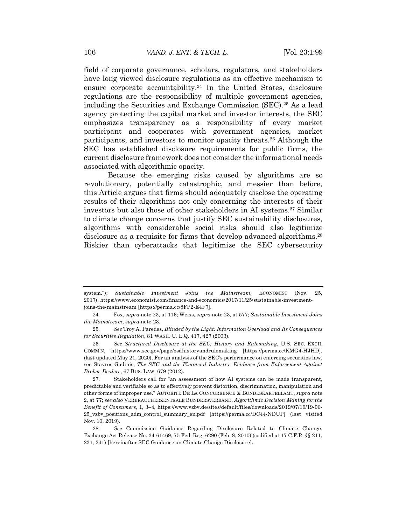field of corporate governance, scholars, regulators, and stakeholders have long viewed disclosure regulations as an effective mechanism to ensure corporate accountability.24 In the United States, disclosure regulations are the responsibility of multiple government agencies, including the Securities and Exchange Commission (SEC).25 As a lead agency protecting the capital market and investor interests, the SEC emphasizes transparency as a responsibility of every market participant and cooperates with government agencies, market participants, and investors to monitor opacity threats.26 Although the SEC has established disclosure requirements for public firms, the current disclosure framework does not consider the informational needs associated with algorithmic opacity.

Because the emerging risks caused by algorithms are so revolutionary, potentially catastrophic, and messier than before, this Article argues that firms should adequately disclose the operating results of their algorithms not only concerning the interests of their investors but also those of other stakeholders in AI systems.27 Similar to climate change concerns that justify SEC sustainability disclosures, algorithms with considerable social risks should also legitimize disclosure as a requisite for firms that develop advanced algorithms.28 Riskier than cyberattacks that legitimize the SEC cybersecurity

system."); *Sustainable Investment Joins the Mainstream*, ECONOMIST (Nov. 25, 2017), https://www.economist.com/finance-and-economics/2017/11/25/sustainable-investmentjoins-the-mainstream [https://perma.cc/8FP2-E4F7].

<sup>24</sup>*.* Fox, *supra* note 23, at 116; Weiss, *supra* note 23, at 577; *Sustainable Investment Joins the Mainstream*, *supra* note 23.

<sup>25</sup>*. See* Troy A. Paredes, *Blinded by the Light: Information Overload and Its Consequences for Securities Regulation*, 81 WASH. U. L.Q. 417, 427 (2003).

<sup>26</sup>*. See Structured Disclosure at the SEC: History and Rulemaking*, U.S. SEC. EXCH. COMM'N, https://www.sec.gov/page/osdhistoryandrulemaking [https://perma.cc/KMG4-HJHD]. (last updated May 21, 2020). For an analysis of the SEC's performance on enforcing securities law, see Stavros Gadinis, *The SEC and the Financial Industry: Evidence from Enforcement Against Broker-Dealers*, 67 BUS. LAW. 679 (2012).

<sup>27.</sup> Stakeholders call for "an assessment of how AI systems can be made transparent, predictable and verifiable so as to effectively prevent distortion, discrimination, manipulation and other forms of improper use." AUTORITÉ DE LA CONCURRENCE & BUNDESKARTELLAMT, *supra* note 2, at 77; *see also* VERBRAUCHERZENTRALE BUNDERSVERBAND, *Algorithmic Decision Making for the Benefit of Consumers*, 1, 3–4, https://www.vzbv.de/sites/default/files/downloads/2019/07/19/19-06- 25\_vzbv\_positions\_adm\_control\_summary\_en.pdf [https://perma.cc/DC44-NDUP] (last visited Nov. 10, 2019).

<sup>28</sup>*. See* Commission Guidance Regarding Disclosure Related to Climate Change, Exchange Act Release No. 34-61469, 75 Fed. Reg. 6290 (Feb. 8, 2010) (codified at 17 C.F.R. §§ 211, 231, 241) [hereinafter SEC Guidance on Climate Change Disclosure].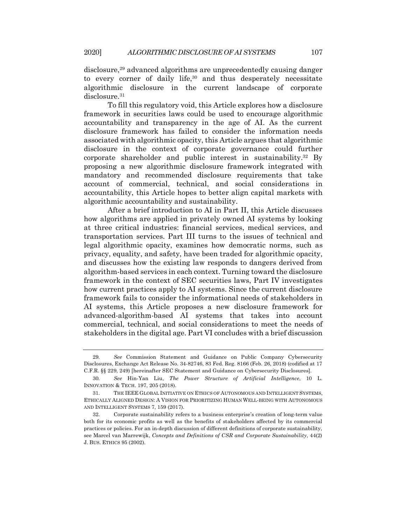disclosure,<sup>29</sup> advanced algorithms are unprecedentedly causing danger to every corner of daily life,30 and thus desperately necessitate algorithmic disclosure in the current landscape of corporate disclosure.<sup>31</sup>

To fill this regulatory void, this Article explores how a disclosure framework in securities laws could be used to encourage algorithmic accountability and transparency in the age of AI. As the current disclosure framework has failed to consider the information needs associated with algorithmic opacity, this Article argues that algorithmic disclosure in the context of corporate governance could further corporate shareholder and public interest in sustainability.32 By proposing a new algorithmic disclosure framework integrated with mandatory and recommended disclosure requirements that take account of commercial, technical, and social considerations in accountability, this Article hopes to better align capital markets with algorithmic accountability and sustainability.

After a brief introduction to AI in Part II, this Article discusses how algorithms are applied in privately owned AI systems by looking at three critical industries: financial services, medical services, and transportation services. Part III turns to the issues of technical and legal algorithmic opacity, examines how democratic norms, such as privacy, equality, and safety, have been traded for algorithmic opacity, and discusses how the existing law responds to dangers derived from algorithm-based services in each context. Turning toward the disclosure framework in the context of SEC securities laws, Part IV investigates how current practices apply to AI systems. Since the current disclosure framework fails to consider the informational needs of stakeholders in AI systems, this Article proposes a new disclosure framework for advanced-algorithm-based AI systems that takes into account commercial, technical, and social considerations to meet the needs of stakeholders in the digital age. Part VI concludes with a brief discussion

<sup>29</sup>*. See* Commission Statement and Guidance on Public Company Cybersecurity Disclosures, Exchange Act Release No. 34-82746, 83 Fed. Reg. 8166 (Feb. 26, 2018) (codified at 17 C.F.R. §§ 229, 249) [hereinafter SEC Statement and Guidance on Cybersecurity Disclosures].

<sup>30</sup>*. See* Hin-Yan Liu, *The Power Structure of Artificial Intelligence*, 10 L. INNOVATION & TECH. 197, 205 (2018).

<sup>31.</sup> THE IEEE GLOBAL INITIATIVE ON ETHICS OF AUTONOMOUS AND INTELLIGENT SYSTEMS, ETHICALLY ALIGNED DESIGN: A VISION FOR PRIORITIZING HUMAN WELL-BEING WITH AUTONOMOUS AND INTELLIGENT SYSTEMS 7, 159 (2017).

<sup>32.</sup> Corporate sustainability refers to a business enterprise's creation of long-term value both for its economic profits as well as the benefits of stakeholders affected by its commercial practices or policies. For an in-depth discussion of different definitions of corporate sustainability, see Marcel van Marrewijk, *Concepts and Definitions of CSR and Corporate Sustainability*, 44(2) J. BUS. ETHICS 95 (2002).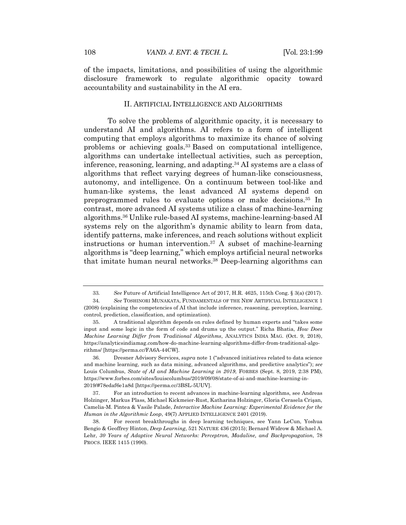of the impacts, limitations, and possibilities of using the algorithmic disclosure framework to regulate algorithmic opacity toward accountability and sustainability in the AI era.

#### II. ARTIFICIAL INTELLIGENCE AND ALGORITHMS

To solve the problems of algorithmic opacity, it is necessary to understand AI and algorithms. AI refers to a form of intelligent computing that employs algorithms to maximize its chance of solving problems or achieving goals.33 Based on computational intelligence, algorithms can undertake intellectual activities, such as perception, inference, reasoning, learning, and adapting.34 AI systems are a class of algorithms that reflect varying degrees of human-like consciousness, autonomy, and intelligence. On a continuum between tool-like and human-like systems, the least advanced AI systems depend on preprogrammed rules to evaluate options or make decisions.35 In contrast, more advanced AI systems utilize a class of machine-learning algorithms.36 Unlike rule-based AI systems, machine-learning-based AI systems rely on the algorithm's dynamic ability to learn from data, identify patterns, make inferences, and reach solutions without explicit instructions or human intervention.37 A subset of machine-learning algorithms is "deep learning," which employs artificial neural networks that imitate human neural networks.38 Deep-learning algorithms can

<sup>33</sup>*. See* Future of Artificial Intelligence Act of 2017, H.R. 4625, 115th Cong. § 3(a) (2017). 34*. See* TOSHINORI MUNAKATA, FUNDAMENTALS OF THE NEW ARTIFICIAL INTELLIGENCE 1 (2008) (explaining the competencies of AI that include inference, reasoning, perception, learning, control, prediction, classification, and optimization).

<sup>35.</sup> A traditional algorithm depends on rules defined by human experts and "takes some input and some logic in the form of code and drums up the output." Richa Bhatia, *How Does Machine Learning Differ from Traditional Algorithms*, ANALYTICS INDIA MAG. (Oct. 9, 2018), https://analyticsindiamag.com/how-do-machine-learning-algorithms-differ-from-traditional-algorithms/ [https://perma.cc/FA6A-44CW].

<sup>36.</sup> Dresner Advisory Services, *supra* note 1 ("advanced initiatives related to data science and machine learning, such as data mining, advanced algorithms, and predictive analytics"); *see* Louis Columbus, *State of AI and Machine Learning in 2019*, FORBES (Sept. 8, 2019, 2:38 PM), https://www.forbes.com/sites/louiscolumbus/2019/09/08/state-of-ai-and-machine-learning-in-2019/#78edaf6e1a8d [https://perma.cc/3BSL-5UUV].

<sup>37.</sup> For an introduction to recent advances in machine-learning algorithms, see Andreas Holzinger, Markus Plass, Michael Kickmeier-Rust, Katharina Holzinger, Gloria Cerasela Crişan, Camelia-M. Pintea & Vasile Palade, *Interactive Machine Learning: Experimental Evidence for the Human in the Algorithmic Loop*, 49(7) APPLIED INTELLIGENCE 2401 (2019).

<sup>38.</sup> For recent breakthroughs in deep learning techniques, see Yann LeCun, Yoshua Bengio & Geoffrey Hinton, *Deep Learning*, 521 NATURE 436 (2015); Bernard Widrow & Michael A. Lehr, *30 Years of Adaptive Neural Networks: Perceptron, Madaline, and Backpropagation*, 78 PROCS. IEEE 1415 (1990).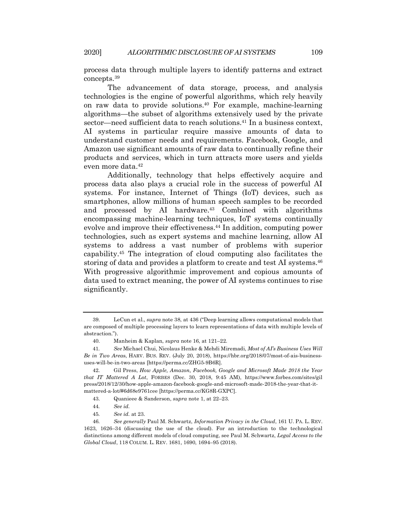process data through multiple layers to identify patterns and extract concepts.39

The advancement of data storage, process, and analysis technologies is the engine of powerful algorithms, which rely heavily on raw data to provide solutions.40 For example, machine-learning algorithms—the subset of algorithms extensively used by the private sector—need sufficient data to reach solutions.41 In a business context, AI systems in particular require massive amounts of data to understand customer needs and requirements. Facebook, Google, and Amazon use significant amounts of raw data to continually refine their products and services, which in turn attracts more users and yields even more data.42

Additionally, technology that helps effectively acquire and process data also plays a crucial role in the success of powerful AI systems. For instance, Internet of Things (IoT) devices, such as smartphones, allow millions of human speech samples to be recorded and processed by AI hardware.<sup>43</sup> Combined with algorithms encompassing machine-learning techniques, IoT systems continually evolve and improve their effectiveness.44 In addition, computing power technologies, such as expert systems and machine learning, allow AI systems to address a vast number of problems with superior capability.45 The integration of cloud computing also facilitates the storing of data and provides a platform to create and test AI systems.<sup>46</sup> With progressive algorithmic improvement and copious amounts of data used to extract meaning, the power of AI systems continues to rise significantly.

<sup>39.</sup> LeCun et al., *supra* note 38, at 436 ("Deep learning allows computational models that are composed of multiple processing layers to learn representations of data with multiple levels of abstraction.").

<sup>40.</sup> Manheim & Kaplan, *supra* note 16, at 121–22.

<sup>41</sup>*. See* Michael Chui, Nicolaus Henke & Mehdi Miremadi, *Most of AI's Business Uses Will Be in Two Area*s, HARV. BUS. REV. (July 20, 2018), https://hbr.org/2018/07/most-of-ais-businessuses-will-be-in-two-areas [https://perma.cc/ZHG5-9B6R].

<sup>42.</sup> Gil Press, *How Apple, Amazon, Facebook, Google and Microsoft Made 2018 the Year that IT Mattered A Lot*, FORBES (Dec. 30, 2018, 9:45 AM), https://www.forbes.com/sites/gil press/2018/12/30/how-apple-amazon-facebook-google-and-microsoft-made-2018-the-year-that-itmattered-a-lot/#6d68e9761cee [https://perma.cc/KG8R-GXPC].

<sup>43.</sup> Quanieee & Sanderson, *supra* note 1, at 22–23.

<sup>44</sup>*. See id.*

<sup>45</sup>*. See id.* at 23.

<sup>46</sup>*. See generally* Paul M. Schwartz, *Information Privacy in the Cloud*, 161 U. PA. L. REV. 1623, 1626–34 (discussing the use of the cloud). For an introduction to the technological distinctions among different models of cloud computing, see Paul M. Schwartz, *Legal Access to the Global Cloud*, 118 COLUM. L. REV. 1681, 1690, 1694–95 (2018).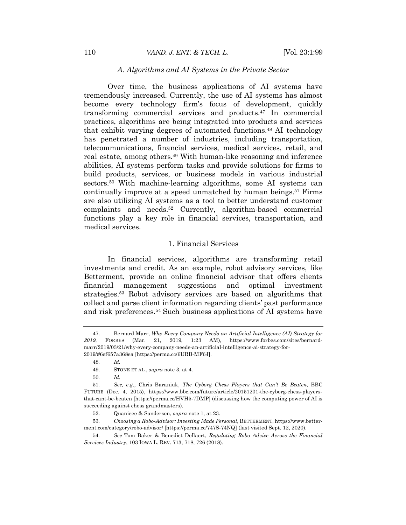## *A. Algorithms and AI Systems in the Private Sector*

Over time, the business applications of AI systems have tremendously increased. Currently, the use of AI systems has almost become every technology firm's focus of development, quickly transforming commercial services and products.47 In commercial practices, algorithms are being integrated into products and services that exhibit varying degrees of automated functions.48 AI technology has penetrated a number of industries, including transportation, telecommunications, financial services, medical services, retail, and real estate, among others.<sup>49</sup> With human-like reasoning and inference abilities, AI systems perform tasks and provide solutions for firms to build products, services, or business models in various industrial sectors.50 With machine-learning algorithms, some AI systems can continually improve at a speed unmatched by human beings.<sup>51</sup> Firms are also utilizing AI systems as a tool to better understand customer complaints and needs.52 Currently, algorithm-based commercial functions play a key role in financial services, transportation, and medical services.

#### 1. Financial Services

In financial services, algorithms are transforming retail investments and credit. As an example, robot advisory services, like Betterment, provide an online financial advisor that offers clients financial management suggestions and optimal investment strategies.53 Robot advisory services are based on algorithms that collect and parse client information regarding clients' past performance and risk preferences.54 Such business applications of AI systems have

<sup>47.</sup> Bernard Marr, *Why Every Company Needs an Artificial Intelligence (AI) Strategy for 2019*, FORBES (Mar. 21, 2019, 1:23 AM), https://www.forbes.com/sites/bernardmarr/2019/03/21/why-every-company-needs-an-artificial-intelligence-ai-strategy-for-2019/#6ef657a368ea [https://perma.cc/6URB-MF6J].

<sup>48</sup>*. Id.*

<sup>49.</sup> STONE ET AL., *supra* note 3, at 4.

<sup>50</sup>*. Id.*

<sup>51</sup>*. See, e.g.*, Chris Baraniuk, *The Cyborg Chess Players that Can't Be Beaten*, BBC FUTURE (Dec. 4, 2015), https://www.bbc.com/future/article/20151201-the-cyborg-chess-playersthat-cant-be-beaten [https://perma.cc/HVH5-7DMP] (discussing how the computing power of AI is succeeding against chess grandmasters).

<sup>52.</sup> Quanieee & Sanderson, *supra* note 1, at 23.

<sup>53</sup>*. Choosing a Robo-Advisor: Investing Made Personal*, BETTERMENT, https://www.betterment.com/category/robo-advisor/ [https://perma.cc/747S-74NQ] (last visited Sept. 12, 2020).

<sup>54</sup>*. See* Tom Baker & Benedict Dellaert, *Regulating Robo Advice Across the Financial Services Industry*, 103 IOWA L. REV. 713, 718, 726 (2018).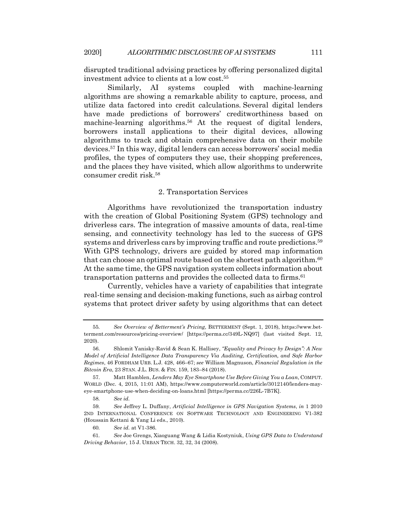disrupted traditional advising practices by offering personalized digital investment advice to clients at a low cost.55

Similarly, AI systems coupled with machine-learning algorithms are showing a remarkable ability to capture, process, and utilize data factored into credit calculations. Several digital lenders have made predictions of borrowers' creditworthiness based on machine-learning algorithms. <sup>56</sup> At the request of digital lenders, borrowers install applications to their digital devices, allowing algorithms to track and obtain comprehensive data on their mobile devices.57 In this way, digital lenders can access borrowers' social media profiles, the types of computers they use, their shopping preferences, and the places they have visited, which allow algorithms to underwrite consumer credit risk.58

#### 2. Transportation Services

Algorithms have revolutionized the transportation industry with the creation of Global Positioning System (GPS) technology and driverless cars. The integration of massive amounts of data, real-time sensing, and connectivity technology has led to the success of GPS systems and driverless cars by improving traffic and route predictions.<sup>59</sup> With GPS technology, drivers are guided by stored map information that can choose an optimal route based on the shortest path algorithm.<sup>60</sup> At the same time, the GPS navigation system collects information about transportation patterns and provides the collected data to firms.<sup>61</sup>

Currently, vehicles have a variety of capabilities that integrate real-time sensing and decision-making functions, such as airbag control systems that protect driver safety by using algorithms that can detect

<sup>55</sup>*. See Overview of Betterment's Pricing*, BETTERMENT (Sept. 1, 2018), https://www.betterment.com/resources/pricing-overview/ [https://perma.cc/349L-NQ97] (last visited Sept. 12, 2020).

<sup>56.</sup> Shlomit Yanisky-Ravid & Sean K. Hallisey, *"Equality and Privacy by Design": A New Model of Artificial Intelligence Data Transparency Via Auditing, Certification, and Safe Harbor Regimes*, 46 FORDHAM URB. L.J. 428, 466–67; *see* William Magnuson, *Financial Regulation in the Bitcoin Era*, 23 STAN. J.L. BUS. & FIN. 159, 183–84 (2018).

<sup>57.</sup> Matt Hamblen, *Lenders May Eye Smartphone Use Before Giving You a Loan*, COMPUT. WORLD (Dec. 4, 2015, 11:01 AM), https://www.computerworld.com/article/3012140/lenders-mayeye-smartphone-use-when-deciding-on-loans.html [https://perma.cc/226L-7B7K].

<sup>58</sup>*. See id.*

<sup>59</sup>*. See* Jeffrey L. Duffany, *Artificial Intelligence in GPS Navigation Systems*, *in* 1 2010 2ND INTERNATIONAL CONFERENCE ON SOFTWARE TECHNOLOGY AND ENGINEERING V1-382 (Houssain Kettani & Yang Li eds., 2010).

<sup>60</sup>*. See id.* at V1-386.

<sup>61</sup>*. See* Joe Grengs, Xiaoguang Wang & Lidia Kostyniuk, *Using GPS Data to Understand Driving Behavior*, 15 J. URBAN TECH. 32, 32, 34 (2008).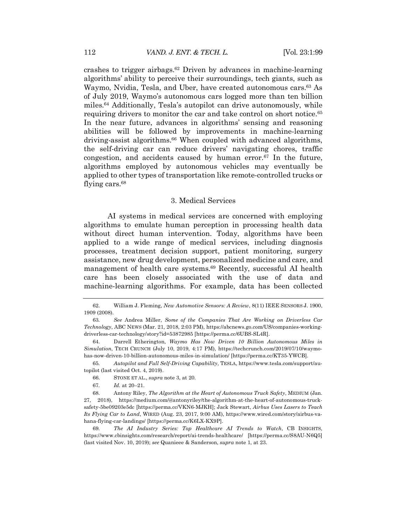crashes to trigger airbags.62 Driven by advances in machine-learning algorithms' ability to perceive their surroundings, tech giants, such as Waymo, Nvidia, Tesla, and Uber, have created autonomous cars.63 As of July 2019, Waymo's autonomous cars logged more than ten billion miles.64 Additionally, Tesla's autopilot can drive autonomously, while requiring drivers to monitor the car and take control on short notice.<sup>65</sup> In the near future, advances in algorithms' sensing and reasoning abilities will be followed by improvements in machine-learning driving-assist algorithms.<sup>66</sup> When coupled with advanced algorithms, the self-driving car can reduce drivers' navigating chores, traffic congestion, and accidents caused by human error. $67$  In the future, algorithms employed by autonomous vehicles may eventually be applied to other types of transportation like remote-controlled trucks or flying cars.<sup>68</sup>

### 3. Medical Services

AI systems in medical services are concerned with employing algorithms to emulate human perception in processing health data without direct human intervention. Today, algorithms have been applied to a wide range of medical services, including diagnosis processes, treatment decision support, patient monitoring, surgery assistance, new drug development, personalized medicine and care, and management of health care systems.69 Recently, successful AI health care has been closely associated with the use of data and machine-learning algorithms. For example, data has been collected

64. Darrell Etherington, *Waymo Has Now Driven 10 Billion Autonomous Miles in Simulation*, TECH CRUNCH (July 10, 2019, 4:17 PM), https://techcrunch.com/2019/07/10/waymohas-now-driven-10-billion-autonomous-miles-in-simulation/ [https://perma.cc/KT35-YWCB].

65*. Autopilot and Full Self-Driving Capability*, TESLA, https://www.tesla.com/support/autopilot (last visited Oct. 4, 2019).

67*. Id.* at 20–21.

68. Antony Riley, *The Algorithm at the Heart of Autonomous Truck Safety*, MEDIUM (Jan. 27, 2018), https://medium.com/@antonyriley/the-algorithm-at-the-heart-of-autonomous-trucksafety-5be09203e5dc [https://perma.cc/VKN6-MJKH]; Jack Stewart, *Airbus Uses Lasers to Teach Its Flying Car to Land*, WIRED (Aug. 23, 2017, 9:00 AM), https://www.wired.com/story/airbus-vahana-flying-car-landings/ [https://perma.cc/K6LX-KX9P].

69*. The AI Industry Series: Top Healthcare AI Trends to Watch*, CB INSIGHTS, https://www.cbinsights.com/research/report/ai-trends-healthcare/ [https://perma.cc/S8AU-N6Q5] (last visited Nov. 10, 2019); *see* Quanieee & Sanderson, *supra* note 1, at 23.

<sup>62.</sup> William J. Fleming, *New Automotive Sensors: A Review*, 8(11) IEEE SENSORS J. 1900, 1909 (2008).

<sup>63</sup>*. See* Andrea Miller, *Some of the Companies That Are Working on Driverless Car Technology*, ABC NEWS (Mar. 21, 2018, 2:03 PM), https://abcnews.go.com/US/companies-workingdriverless-car-technology/story?id=53872985 [https://perma.cc/6UBS-SL4R].

<sup>66.</sup> STONE ET AL., *supra* note 3, at 20.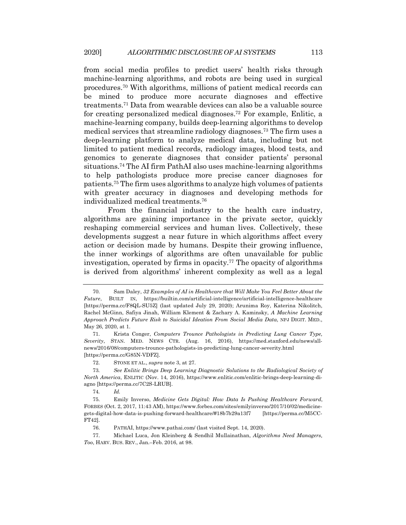from social media profiles to predict users' health risks through machine-learning algorithms, and robots are being used in surgical procedures.70 With algorithms, millions of patient medical records can be mined to produce more accurate diagnoses and effective treatments.71 Data from wearable devices can also be a valuable source for creating personalized medical diagnoses.72 For example, Enlitic, a machine-learning company, builds deep-learning algorithms to develop medical services that streamline radiology diagnoses.73 The firm uses a deep-learning platform to analyze medical data, including but not limited to patient medical records, radiology images, blood tests, and genomics to generate diagnoses that consider patients' personal situations.74 The AI firm PathAI also uses machine-learning algorithms to help pathologists produce more precise cancer diagnoses for patients.75 The firm uses algorithms to analyze high volumes of patients with greater accuracy in diagnoses and developing methods for individualized medical treatments.76

From the financial industry to the health care industry, algorithms are gaining importance in the private sector, quickly reshaping commercial services and human lives. Collectively, these developments suggest a near future in which algorithms affect every action or decision made by humans. Despite their growing influence, the inner workings of algorithms are often unavailable for public investigation, operated by firms in opacity.77 The opacity of algorithms is derived from algorithms' inherent complexity as well as a legal

<sup>70.</sup> Sam Daley, *32 Examples of AI in Healthcare that Will Make You Feel Better About the Future*, BUILT IN, https://builtin.com/artificial-intelligence/artificial-intelligence-healthcare [https://perma.cc/F8QL-SU5Z] (last updated July 29, 2020); Arunima Roy, Katerina Nikolitch, Rachel McGinn, Safiya Jinah, William Klement & Zachary A. Kaminsky, *A Machine Learning Approach Predicts Future Risk to Suicidal Ideation From Social Media Data*, NPJ DIGIT. MED., May 26, 2020, at 1.

<sup>71.</sup> Krista Conger, *Computers Trounce Pathologists in Predicting Lung Cancer Type, Severity*, STAN. MED. NEWS CTR. (Aug. 16, 2016), https://med.stanford.edu/news/allnews/2016/08/computers-trounce-pathologists-in-predicting-lung-cancer-severity.html [https://perma.cc/G85N-VDFZ].

<sup>72.</sup> STONE ET AL., *supra* note 3, at 27.

<sup>73</sup>*. See Enlitic Brings Deep Learning Diagnostic Solutions to the Radiological Society of North America*, ENLITIC (Nov. 14, 2016), https://www.enlitic.com/enlitic-brings-deep-learning-diagno [https://perma.cc/7C2S-LRUB].

<sup>74</sup>*. Id.*

<sup>75.</sup> Emily Inverso, *Medicine Gets Digital: How Data Is Pushing Healthcare Forward*, FORBES (Oct. 2, 2017, 11:43 AM), https://www.forbes.com/sites/emilyinverso/2017/10/02/medicinegets-digital-how-data-is-pushing-forward-healthcare/#18b7b29a13f7 [https://perma.cc/M5CC-FT42].

<sup>76.</sup> PATHAI, https://www.pathai.com/ (last visited Sept. 14, 2020).

<sup>77.</sup> Michael Luca, Jon Kleinberg & Sendhil Mullainathan, *Algorithms Need Managers, Too*, HARV. BUS. REV., Jan.–Feb. 2016, at 98.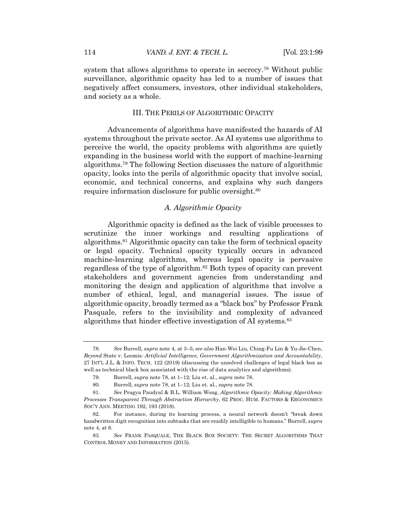system that allows algorithms to operate in secrecy.78 Without public surveillance, algorithmic opacity has led to a number of issues that negatively affect consumers, investors, other individual stakeholders, and society as a whole.

### III. THE PERILS OF ALGORITHMIC OPACITY

Advancements of algorithms have manifested the hazards of AI systems throughout the private sector. As AI systems use algorithms to perceive the world, the opacity problems with algorithms are quietly expanding in the business world with the support of machine-learning algorithms.79 The following Section discusses the nature of algorithmic opacity, looks into the perils of algorithmic opacity that involve social, economic, and technical concerns, and explains why such dangers require information disclosure for public oversight.80

## *A. Algorithmic Opacity*

Algorithmic opacity is defined as the lack of visible processes to scrutinize the inner workings and resulting applications of algorithms.81 Algorithmic opacity can take the form of technical opacity or legal opacity. Technical opacity typically occurs in advanced machine-learning algorithms, whereas legal opacity is pervasive regardless of the type of algorithm.82 Both types of opacity can prevent stakeholders and government agencies from understanding and monitoring the design and application of algorithms that involve a number of ethical, legal, and managerial issues. The issue of algorithmic opacity, broadly termed as a "black box" by Professor Frank Pasquale, refers to the invisibility and complexity of advanced algorithms that hinder effective investigation of AI systems.83

<sup>78</sup>*. See* Burrell, *supra* note 4, at 3–5; *see also* Han-Wei Liu, Ching-Fu Lin & Yu-Jie-Chen, *Beyond* State v. Loomis*: Artificial Intelligence, Government Algorithmization and Accountability*, 27 INT'L J.L. & INFO. TECH. 122 (2019) (discussing the unsolved challenges of legal black box as well as technical black box associated with the rise of data analytics and algorithms).

<sup>79</sup>*.* Burrell, *supra* note 78, at 1–12; Liu et. al., *supra* note 78.

<sup>80</sup>*.* Burrell, *supra* note 78, at 1–12; Liu et. al., *supra* note 78.

<sup>81</sup>*. See* Pragya Paudyal & B.L. William Wong, *Algorithmic Opacity: Making Algorithmic Processes Transparent Through Abstraction Hierarchy*, 62 PROC. HUM. FACTORS & ERGONOMICS SOC'Y ANN. MEETING 192, 193 (2018).

<sup>82.</sup> For instance, during its learning process, a neural network doesn't "break down handwritten digit recognition into subtasks that are readily intelligible to humans." Burrell, *supra* note 4, at 6.

<sup>83</sup>*. See* FRANK PASQUALE, THE BLACK BOX SOCIETY: THE SECRET ALGORITHMS THAT CONTROL MONEY AND INFORMATION (2015).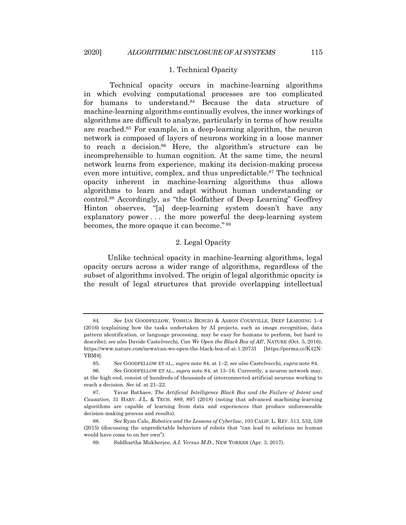#### 1. Technical Opacity

Technical opacity occurs in machine-learning algorithms in which evolving computational processes are too complicated for humans to understand.84 Because the data structure of machine-learning algorithms continually evolves, the inner workings of algorithms are difficult to analyze, particularly in terms of how results are reached.85 For example, in a deep-learning algorithm, the neuron network is composed of layers of neurons working in a loose manner to reach a decision.86 Here, the algorithm's structure can be incomprehensible to human cognition. At the same time, the neural network learns from experience, making its decision-making process even more intuitive, complex, and thus unpredictable.<sup>87</sup> The technical opacity inherent in machine-learning algorithms thus allows algorithms to learn and adapt without human understanding or control.88 Accordingly, as "the Godfather of Deep Learning" Geoffrey Hinton observes, "[a] deep-learning system doesn't have any explanatory power . . . the more powerful the deep-learning system becomes, the more opaque it can become." <sup>89</sup>

## 2. Legal Opacity

Unlike technical opacity in machine-learning algorithms, legal opacity occurs across a wider range of algorithms, regardless of the subset of algorithms involved. The origin of legal algorithmic opacity is the result of legal structures that provide overlapping intellectual

<sup>84</sup>*. See* IAN GOODFELLOW, YOSHUA BENGIO & AARON COURVILLE, DEEP LEARNING 1–4 (2016) (explaining how the tasks undertaken by AI projects, such as image recognition, data pattern identification, or language processing, may be easy for humans to perform, but hard to describe); *see also* Davide Castelvecchi, *Can We Open the Black Box of AI?*, NATURE (Oct. 5, 2016), https://www.nature.com/news/can-we-open-the-black-box-of-ai-1.20731 [https://perma.cc/K42N-YBM8].

<sup>85</sup>*. See* GOODFELLOW ET AL., *supra* note 84, at 1–2; *see also* Castelvecchi, *supra* note 84.

<sup>86</sup>*. See* GOODFELLOW ET AL., *supra* note 84, at 13–16. Currently, a neuron network may, at the high end, consist of hundreds of thousands of interconnected artificial neurons working to reach a decision. *See id.* at 21–22.

<sup>87.</sup> Yavar Bathaee, *The Artificial Intelligence Black Box and the Failure of Intent and Causation*, 31 HARV. J.L. & TECH. 889, 897 (2018) (noting that advanced machining-learning algorithms are capable of learning from data and experiences that produce unforeseeable decision-making process and results).

<sup>88</sup>*. See* Ryan Calo, *Robotics and the Lessons of Cyberlaw*, 103 CALIF. L. REV. 513, 532, 539 (2015) (discussing the unpredictable behaviors of robots that "can lead to solutions no human would have come to on her own").

<sup>89.</sup> Siddhartha Mukherjee, *A.I. Versus M.D.*, NEW YORKER (Apr. 3, 2017).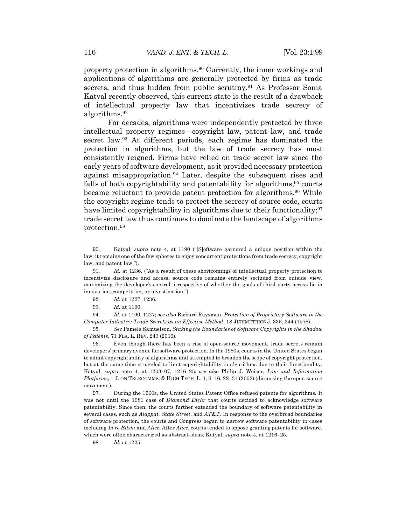property protection in algorithms.90 Currently, the inner workings and applications of algorithms are generally protected by firms as trade secrets, and thus hidden from public scrutiny.<sup>91</sup> As Professor Sonia Katyal recently observed, this current state is the result of a drawback of intellectual property law that incentivizes trade secrecy of algorithms.92

For decades, algorithms were independently protected by three intellectual property regimes—copyright law, patent law, and trade secret law.93 At different periods, each regime has dominated the protection in algorithms, but the law of trade secrecy has most consistently reigned. Firms have relied on trade secret law since the early years of software development, as it provided necessary protection against misappropriation.94 Later, despite the subsequent rises and falls of both copyrightability and patentability for algorithms,  $95$  courts became reluctant to provide patent protection for algorithms.<sup>96</sup> While the copyright regime tends to protect the secrecy of source code, courts have limited copyrightability in algorithms due to their functionality;  $97$ trade secret law thus continues to dominate the landscape of algorithms protection.98

94*. Id.* at 1190, 1227; *see also* Richard Raysman, *Protection of Proprietary Software in the Computer Industry: Trade Secrets as an Effective Method*, 18 JURIMETRICS J. 335, 344 (1978).

95*. See* Pamela Samuelson, *Staking the Boundaries of Software Copyrights in the Shadow of Patents*, 71 FLA. L. REV. 243 (2019).

96. Even though there has been a rise of open-source movement, trade secrets remain developers' primary avenue for software protection. In the 1980s, courts in the United States began to admit copyrightability of algorithms and attempted to broaden the scope of copyright protection, but at the same time struggled to limit copyrightability in algorithms due to their functionality. Katyal, *supra* note 4, at 1203–07, 1216–25; *see also* Philip J. Weiser, *Law and Information Platforms*, 1 J. ON TELECOMMS. & HIGH TECH. L. 1, 6–16, 22–31 (2002) (discussing the open-source movement).

97. During the 1960s, the United States Patent Office refused patents for algorithms. It was not until the 1981 case of *Diamond Diehr* that courts decided to acknowledge software patentability. Since then, the courts further extended the boundary of software patentability in several cases, such as *Alappat*, *State Street*, and *AT&T*. In response to the overbroad boundaries of software protection, the courts and Congress began to narrow software patentability in cases including *In re Bilski* and *Alice*. After *Alice*, courts tended to oppose granting patents for software, which were often characterized as abstract ideas. Katyal, *supra* note 4, at 1216–25.

98*. Id.* at 1225.

<sup>90.</sup> Katyal, *supra* note 4, at 1190 ("[S]oftware garnered a unique position within the law: it remains one of the few spheres to enjoy concurrent protections from trade secrecy, copyright law, and patent law.").

<sup>91</sup>*. Id.* at 1236. ("As a result of these shortcomings of intellectual property protection to incentivize disclosure and access, source code remains entirely secluded from outside view, maximizing the developer's control, irrespective of whether the goals of third party access lie in innovation, competition, or investigation.").

<sup>92</sup>*. Id.* at 1227, 1236.

<sup>93</sup>*. Id.* at 1190.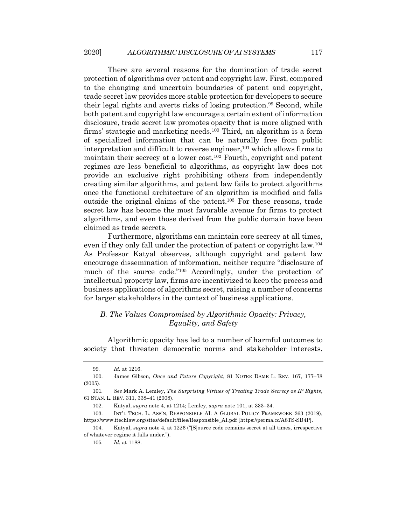There are several reasons for the domination of trade secret protection of algorithms over patent and copyright law. First, compared to the changing and uncertain boundaries of patent and copyright, trade secret law provides more stable protection for developers to secure their legal rights and averts risks of losing protection.99 Second, while both patent and copyright law encourage a certain extent of information disclosure, trade secret law promotes opacity that is more aligned with firms' strategic and marketing needs.100 Third, an algorithm is a form of specialized information that can be naturally free from public interpretation and difficult to reverse engineer,<sup>101</sup> which allows firms to maintain their secrecy at a lower cost.102 Fourth, copyright and patent regimes are less beneficial to algorithms, as copyright law does not provide an exclusive right prohibiting others from independently creating similar algorithms, and patent law fails to protect algorithms once the functional architecture of an algorithm is modified and falls outside the original claims of the patent.103 For these reasons, trade secret law has become the most favorable avenue for firms to protect algorithms, and even those derived from the public domain have been claimed as trade secrets.

Furthermore, algorithms can maintain core secrecy at all times, even if they only fall under the protection of patent or copyright law.104 As Professor Katyal observes, although copyright and patent law encourage dissemination of information, neither require "disclosure of much of the source code."105 Accordingly, under the protection of intellectual property law, firms are incentivized to keep the process and business applications of algorithms secret, raising a number of concerns for larger stakeholders in the context of business applications.

## *B. The Values Compromised by Algorithmic Opacity: Privacy, Equality, and Safety*

Algorithmic opacity has led to a number of harmful outcomes to society that threaten democratic norms and stakeholder interests.

<sup>99</sup>*. Id.* at 1216.

<sup>100.</sup> James Gibson, *Once and Future Copyright*, 81 NOTRE DAME L. REV. 167, 177–78 (2005).

<sup>101</sup>*. See* Mark A. Lemley, *The Surprising Virtues of Treating Trade Secrecy as IP Rights*, 61 STAN. L. REV. 311, 338–41 (2008).

<sup>102.</sup> Katyal, *supra* note 4, at 1214; Lemley, *supra* note 101, at 333–34.

<sup>103.</sup> INT'L TECH. L. ASS'N, RESPONSIBLE AI: A GLOBAL POLICY FRAMEWORK 263 (2019), https://www.itechlaw.org/sites/default/files/Responsible\_AI.pdf [https://perma.cc/A8TS-SB4P].

<sup>104.</sup> Katyal, *supra* note 4, at 1226 ("[S]ource code remains secret at all times, irrespective of whatever regime it falls under.").

<sup>105</sup>*. Id.* at 1188.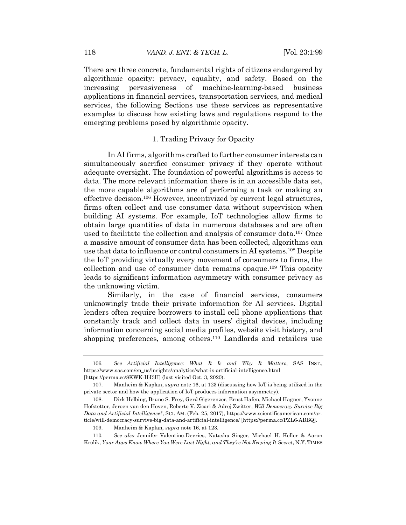There are three concrete, fundamental rights of citizens endangered by algorithmic opacity: privacy, equality, and safety. Based on the increasing pervasiveness of machine-learning-based business applications in financial services, transportation services, and medical services, the following Sections use these services as representative examples to discuss how existing laws and regulations respond to the emerging problems posed by algorithmic opacity.

## 1. Trading Privacy for Opacity

In AI firms, algorithms crafted to further consumer interests can simultaneously sacrifice consumer privacy if they operate without adequate oversight. The foundation of powerful algorithms is access to data. The more relevant information there is in an accessible data set, the more capable algorithms are of performing a task or making an effective decision.106 However, incentivized by current legal structures, firms often collect and use consumer data without supervision when building AI systems. For example, IoT technologies allow firms to obtain large quantities of data in numerous databases and are often used to facilitate the collection and analysis of consumer data.107 Once a massive amount of consumer data has been collected, algorithms can use that data to influence or control consumers in AI systems.108 Despite the IoT providing virtually every movement of consumers to firms, the collection and use of consumer data remains opaque.109 This opacity leads to significant information asymmetry with consumer privacy as the unknowing victim.

Similarly, in the case of financial services, consumers unknowingly trade their private information for AI services. Digital lenders often require borrowers to install cell phone applications that constantly track and collect data in users' digital devices, including information concerning social media profiles, website visit history, and shopping preferences, among others.<sup>110</sup> Landlords and retailers use

<sup>106</sup>*. See Artificial Intelligence: What It Is and Why It Matters*, SAS INST., https://www.sas.com/en\_us/insights/analytics/what-is-artificial-intelligence.html [https://perma.cc/8KWK-HJ3H] (last visited Oct. 3, 2020).

<sup>107.</sup> Manheim & Kaplan, *supra* note 16, at 123 (discussing how IoT is being utilized in the private sector and how the application of IoT produces information asymmetry).

<sup>108.</sup> Dirk Helbing, Bruno S. Frey, Gerd Gigerenzer, Ernst Hafen, Michael Hagner, Yvonne Hofstetter, Jeroen van den Hoven, Roberto V. Zicari & Adrej Zwitter, *Will Democracy Survive Big Data and Artificial Intelligence?*, SCI. AM. (Feb. 25, 2017), https://www.scientificamerican.com/article/will-democracy-survive-big-data-and-artificial-intelligence/ [https://perma.cc/PZL6-ABBQ].

<sup>109.</sup> Manheim & Kaplan, *supra* note 16, at 123.

<sup>110</sup>*. See also* Jennifer Valentino-Devries, Natasha Singer, Michael H. Keller & Aaron Krolik, *Your Apps Know Where You Were Last Night, and They're Not Keeping It Secret*, N.Y. TIMES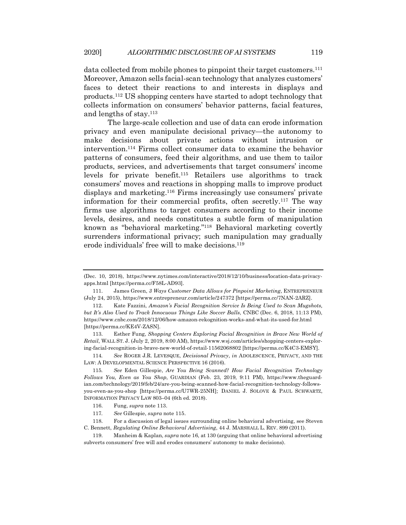data collected from mobile phones to pinpoint their target customers.<sup>111</sup> Moreover, Amazon sells facial-scan technology that analyzes customers' faces to detect their reactions to and interests in displays and products.112 US shopping centers have started to adopt technology that collects information on consumers' behavior patterns, facial features, and lengths of stay.113

The large-scale collection and use of data can erode information privacy and even manipulate decisional privacy—the autonomy to make decisions about private actions without intrusion or intervention.114 Firms collect consumer data to examine the behavior patterns of consumers, feed their algorithms, and use them to tailor products, services, and advertisements that target consumers' income levels for private benefit.115 Retailers use algorithms to track consumers' moves and reactions in shopping malls to improve product displays and marketing.116 Firms increasingly use consumers' private information for their commercial profits, often secretly.117 The way firms use algorithms to target consumers according to their income levels, desires, and needs constitutes a subtle form of manipulation known as "behavioral marketing."118 Behavioral marketing covertly surrenders informational privacy; such manipulation may gradually erode individuals' free will to make decisions.<sup>119</sup>

113. Esther Fung, *Shopping Centers Exploring Facial Recognition in Brave New World of Retail*, WALL ST. J. (July 2, 2019, 8:00 AM), https://www.wsj.com/articles/shopping-centers-exploring-facial-recognition-in-brave-new-world-of-retail-11562068802 [https://perma.cc/K4C3-EMSY].

114*. See* ROGER J.R. LEVESQUE, *Decisional Privacy*, *in* ADOLESCENCE, PRIVACY, AND THE LAW: A DEVELOPMENTAL SCIENCE PERSPECTIVE 16 (2016).

115*. See* Eden Gillespie, *Are You Being Scanned? How Facial Recognition Technology Follows You, Even as You Shop*, GUARDIAN (Feb. 23, 2019, 9:11 PM), https://www.theguardian.com/technology/2019/feb/24/are-you-being-scanned-how-facial-recognition-technology-followsyou-even-as-you-shop [https://perma.cc/U7WR-25NH]; DANIEL J. SOLOVE & PAUL SCHWARTZ, INFORMATION PRIVACY LAW 803–04 (6th ed. 2018).

<sup>(</sup>Dec. 10, 2018), https://www.nytimes.com/interactive/2018/12/10/business/location-data-privacyapps.html [https://perma.cc/F58L-AD93].

<sup>111.</sup> James Green, *3 Ways Customer Data Allows for Pinpoint Marketing*, ENTREPRENEUR (July 24, 2015), https://www.entrepreneur.com/article/247372 [https://perma.cc/7NAN-2ARZ].

<sup>112.</sup> Kate Fazzini, *Amazon's Facial Recognition Service Is Being Used to Scan Mugshots, but It's Also Used to Track Innocuous Things Like Soccer Balls*, CNBC (Dec. 6, 2018, 11:13 PM), https://www.cnbc.com/2018/12/06/how-amazon-rekognition-works-and-what-its-used-for.html [https://perma.cc/KE4V-ZASN].

<sup>116.</sup> Fung, *supra* note 113.

<sup>117</sup>*. See* Gillespie, *supra* note 115.

<sup>118.</sup> For a discussion of legal issues surrounding online behavioral advertising, see Steven C. Bennett, *Regulating Online Behavioral Advertising*, 44 J. MARSHALL L. REV. 899 (2011).

<sup>119.</sup> Manheim & Kaplan, *supra* note 16, at 130 (arguing that online behavioral advertising subverts consumers' free will and erodes consumers' autonomy to make decisions).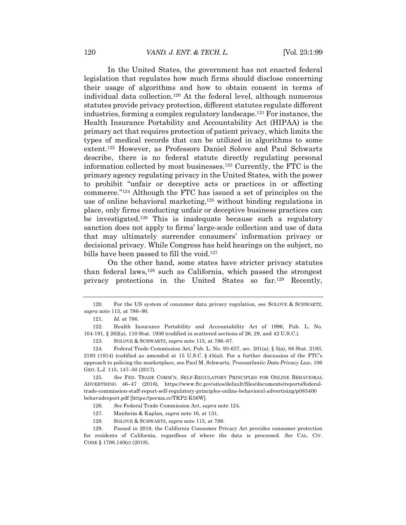In the United States, the government has not enacted federal legislation that regulates how much firms should disclose concerning their usage of algorithms and how to obtain consent in terms of individual data collection.120 At the federal level, although numerous statutes provide privacy protection, different statutes regulate different industries, forming a complex regulatory landscape.121 For instance, the Health Insurance Portability and Accountability Act (HIPAA) is the primary act that requires protection of patient privacy, which limits the types of medical records that can be utilized in algorithms to some extent.122 However, as Professors Daniel Solove and Paul Schwartz describe, there is no federal statute directly regulating personal information collected by most businesses.123 Currently, the FTC is the primary agency regulating privacy in the United States, with the power to prohibit "unfair or deceptive acts or practices in or affecting commerce."124 Although the FTC has issued a set of principles on the use of online behavioral marketing,<sup>125</sup> without binding regulations in place, only firms conducting unfair or deceptive business practices can be investigated.126 This is inadequate because such a regulatory sanction does not apply to firms' large-scale collection and use of data that may ultimately surrender consumers' information privacy or decisional privacy. While Congress has held hearings on the subject, no bills have been passed to fill the void.<sup>127</sup>

On the other hand, some states have stricter privacy statutes than federal laws, $128$  such as California, which passed the strongest privacy protections in the United States so far.129 Recently,

<sup>120.</sup> For the US system of consumer data privacy regulation, see SOLOVE & SCHWARTZ, *supra* note 115, at 786–90.

<sup>121</sup>*. Id.* at 786.

<sup>122.</sup> Health Insurance Portability and Accountability Act of 1996, Pub. L. No. 104-191, § 262(a), 110 Stat. 1936 (codified in scattered sections of 26, 29, and 42 U.S.C.).

<sup>123.</sup> SOLOVE & SCHWARTZ, *supra* note 115, at 786–87.

<sup>124.</sup> Federal Trade Commission Act, Pub. L. No. 93-637, sec. 201(a), § 5(a), 88 Stat. 2193, 2193 (1914) (codified as amended at 15 U.S.C.  $\S$  45(a)). For a further discussion of the FTC's approach to policing the marketplace, see Paul M. Schwartz, *Transatlantic Data Privacy Law*, 106 GEO. L.J. 115, 147–50 (2017).

<sup>125</sup>*. See* FED. TRADE COMM'N, SELF-REGULATORY PRINCIPLES FOR ONLINE BEHAVIORAL ADVERTISING 46–47 (2016), https://www.ftc.gov/sites/default/files/documents/reports/federaltrade-commission-staff-report-self-regulatory-principles-online-behavioral-advertising/p085400 behavadreport.pdf [https://perma.cc/TKP2-K56W].

<sup>126</sup>*. See* Federal Trade Commission Act, *supra* note 124.

<sup>127.</sup> Manheim & Kaplan, *supra* note 16, at 131.

<sup>128.</sup> SOLOVE & SCHWARTZ, *supra* note 115, at 789.

<sup>129.</sup> Passed in 2018, the California Consumer Privacy Act provides consumer protection for residents of California, regardless of where the data is processed. *See* CAL. CIV. CODE § 1798.140(c) (2018).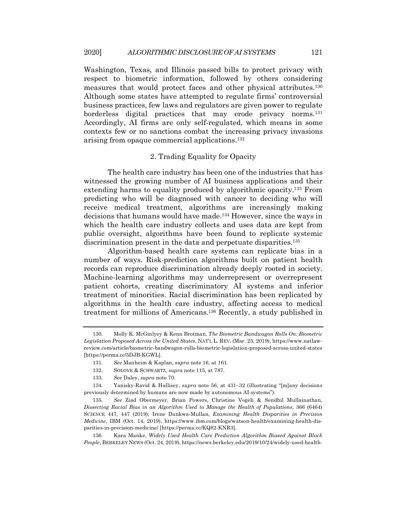Washington, Texas, and Illinois passed bills to protect privacy with respect to biometric information, followed by others considering measures that would protect faces and other physical attributes.130 Although some states have attempted to regulate firms' controversial business practices, few laws and regulators are given power to regulate borderless digital practices that may erode privacy norms.131 Accordingly, AI firms are only self-regulated, which means in some contexts few or no sanctions combat the increasing privacy invasions arising from opaque commercial applications.132

## 2. Trading Equality for Opacity

The health care industry has been one of the industries that has witnessed the growing number of AI business applications and their extending harms to equality produced by algorithmic opacity.133 From predicting who will be diagnosed with cancer to deciding who will receive medical treatment, algorithms are increasingly making decisions that humans would have made.134 However, since the ways in which the health care industry collects and uses data are kept from public oversight, algorithms have been found to replicate systemic discrimination present in the data and perpetuate disparities.<sup>135</sup>

Algorithm-based health care systems can replicate bias in a number of ways. Risk-prediction algorithms built on patient health records can reproduce discrimination already deeply rooted in society. Machine-learning algorithms may underrepresent or overrepresent patient cohorts, creating discriminatory AI systems and inferior treatment of minorities. Racial discrimination has been replicated by algorithms in the health care industry, affecting access to medical treatment for millions of Americans.136 Recently, a study published in

<sup>130</sup>*.* Molly K. McGinlyey & Kenn Brotman, *The Biometric Bandwagon Rolls On: Biometric Legislation Proposed Across the United States*, NAT'L L. REV. (Mar. 25, 2019), https://www.natlawreview.com/article/biometric-bandwagon-rolls-biometric-legislation-proposed-across-united-states [https://perma.cc/5DJB-KGWL].

<sup>131</sup>*. See* Manheim & Kaplan, *supra* note 16, at 161.

<sup>132.</sup> SOLOVE & SCHWARTZ, *supra* note 115, at 787.

<sup>133</sup>*. See* Daley, *supra* note 70.

<sup>134.</sup> Yanisky-Ravid & Hallisey, *supra* note 56, at 431–32 (illustrating "[m]any decisions previously determined by humans are now made by autonomous AI systems").

<sup>135</sup>*. See* Ziad Obermeyer, Brian Powers, Christine Vogeli & Sendhil Mullainathan, *Dissecting Racial Bias in an Algorithm Used to Manage the Health of Populations*, 366 (6464) SCIENCE 447, 447 (2019); Irene Dankwa-Mullan, *Examining Health Disparities in Precision Medicine*, IBM (Oct. 14, 2019), https://www.ibm.com/blogs/watson-health/examining-health-disparities-in-precision-medicine/ [https://perma.cc/KQ82-KNR3].

<sup>136.</sup> Kara Manke, *Widely Used Health Care Prediction Algorithm Biased Against Black People*, BERKELEY NEWS (Oct. 24, 2019), https://news.berkeley.edu/2019/10/24/widely-used-health-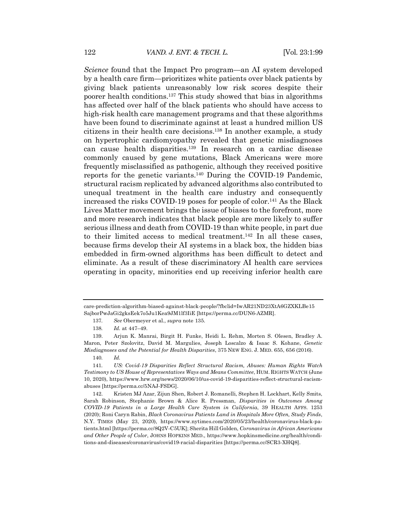*Science* found that the Impact Pro program—an AI system developed by a health care firm—prioritizes white patients over black patients by giving black patients unreasonably low risk scores despite their poorer health conditions.137 This study showed that bias in algorithms has affected over half of the black patients who should have access to high-risk health care management programs and that these algorithms have been found to discriminate against at least a hundred million US citizens in their health care decisions.138 In another example, a study on hypertrophic cardiomyopathy revealed that genetic misdiagnoses can cause health disparities.139 In research on a cardiac disease commonly caused by gene mutations, Black Americans were more frequently misclassified as pathogenic, although they received positive reports for the genetic variants.140 During the COVID-19 Pandemic, structural racism replicated by advanced algorithms also contributed to unequal treatment in the health care industry and consequently increased the risks COVID-19 poses for people of color.141 As the Black Lives Matter movement brings the issue of biases to the forefront, more and more research indicates that black people are more likely to suffer serious illness and death from COVID-19 than white people, in part due to their limited access to medical treatment.142 In all these cases, because firms develop their AI systems in a black box, the hidden bias embedded in firm-owned algorithms has been difficult to detect and eliminate. As a result of these discriminatory AI health care services operating in opacity, minorities end up receiving inferior health care

care-prediction-algorithm-biased-against-black-people/?fbclid=IwAR21ND23XtA6GZXKLBe15 SajborPwJaGi2gksEek7o5Ju1Kea9JM1lf3IiE [https://perma.cc/DUN6-AZMR].

<sup>137</sup>*. See* Obermeyer et al., *supra* note 135.

<sup>138</sup>*. Id.* at 447–49.

<sup>139.</sup> Arjun K. Manrai, Birgit H. Funke, Heidi L. Rehm, Morten S. Olesen, Bradley A. Maron, Peter Szolovitz, David M. Margulies, Joseph Loscalzo & Isaac S. Kohane, *Genetic Misdiagnoses and the Potential for Health Disparities*, 375 NEW ENG. J. MED. 655, 656 (2016).

<sup>140</sup>*. Id.*

<sup>141</sup>*. US: Covid-19 Disparities Reflect Structural Racism, Abuses: Human Rights Watch Testimony to US House of Representatives Ways and Means Committee*, HUM. RIGHTS WATCH (June 10, 2020), https://www.hrw.org/news/2020/06/10/us-covid-19-disparities-reflect-structural-racismabuses [https://perma.cc/5NAJ-FSDG].

<sup>142.</sup> Kristen MJ Azar, Zijun Shen, Robert J. Romanelli, Stephen H. Lockhart, Kelly Smits, Sarah Robinson, Stephanie Brown & Alice R. Pressman, *Disparities in Outcomes Among COVID-19 Patients in a Large Health Care System in California*, 39 HEALTH AFFS. 1253 (2020); Roni Caryn Rabin, *Black Coronavirus Patients Land in Hospitals More Often, Study Finds*, N.Y. TIMES (May 23, 2020), https://www.nytimes.com/2020/05/23/health/coronavirus-black-patients.html [https://perma.cc/8Q2V-C5UK]; Sherita Hill Golden, *Coronavirus in African Americans and Other People of Color*, JOHNS HOPKINS MED., https://www.hopkinsmedicine.org/health/conditions-and-diseases/coronavirus/covid19-racial-disparities [https://perma.cc/SCR3-XHQ8].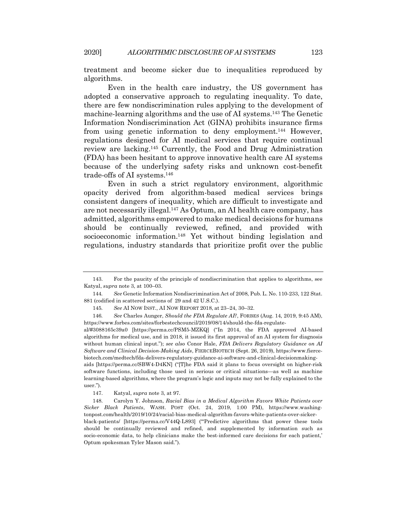treatment and become sicker due to inequalities reproduced by algorithms.

Even in the health care industry, the US government has adopted a conservative approach to regulating inequality. To date, there are few nondiscrimination rules applying to the development of machine-learning algorithms and the use of AI systems.143 The Genetic Information Nondiscrimination Act (GINA) prohibits insurance firms from using genetic information to deny employment.144 However, regulations designed for AI medical services that require continual review are lacking.145 Currently, the Food and Drug Administration (FDA) has been hesitant to approve innovative health care AI systems because of the underlying safety risks and unknown cost-benefit trade-offs of AI systems.146

Even in such a strict regulatory environment, algorithmic opacity derived from algorithm-based medical services brings consistent dangers of inequality, which are difficult to investigate and are not necessarily illegal.147 As Optum, an AI health care company, has admitted, algorithms empowered to make medical decisions for humans should be continually reviewed, refined, and provided with socioeconomic information.<sup>148</sup> Yet without binding legislation and regulations, industry standards that prioritize profit over the public

<sup>143.</sup> For the paucity of the principle of nondiscrimination that applies to algorithms, see Katyal, *supra* note 3, at 100–03.

<sup>144</sup>*. See* Genetic Information Nondiscrimination Act of 2008, Pub. L. No. 110-233, 122 Stat. 881 (codified in scattered sections of 29 and 42 U.S.C.).

<sup>145</sup>*. See* AI NOW INST., AI NOW REPORT 2018, at 23–24, 30–32.

<sup>146</sup>*. See* Charles Aunger, *Should the FDA Regulate AI?*, FORBES (Aug. 14, 2019, 9:45 AM), https://www.forbes.com/sites/forbestechcouncil/2019/08/14/should-the-fda-regulate-

al/#3088165c39a0 [https://perma.cc/PSM5-MZKQ] ("In 2014, the FDA approved AI-based algorithms for medical use, and in 2018, it issued its first approval of an AI system for diagnosis without human clinical input."); *see also* Conor Hale, *FDA Delivers Regulatory Guidance on AI Software and Clinical Decision-Making Aids*, FIERCEBIOTECH (Sept. 26, 2019), https://www.fiercebiotech.com/medtech/fda-delivers-regulatory-guidance-ai-software-and-clinical-decisionmakingaids [https://perma.cc/SBW4-D4KN] ("[T]he FDA said it plans to focus oversight on higher-risk software functions, including those used in serious or critical situations—as well as machine learning-based algorithms, where the program's logic and inputs may not be fully explained to the user.").

<sup>147.</sup> Katyal, *supra* note 3, at 97.

<sup>148.</sup> Carolyn Y. Johnson, *Racial Bias in a Medical Algorithm Favors White Patients over Sicker Black Patients*, WASH. POST (Oct. 24, 2019, 1:00 PM), https://www.washingtonpost.com/health/2019/10/24/racial-bias-medical-algorithm-favors-white-patients-over-sickerblack-patients/ [https://perma.cc/V44Q-L893] ("'Predictive algorithms that power these tools should be continually reviewed and refined, and supplemented by information such as socio-economic data, to help clinicians make the best-informed care decisions for each patient,' Optum spokesman Tyler Mason said.").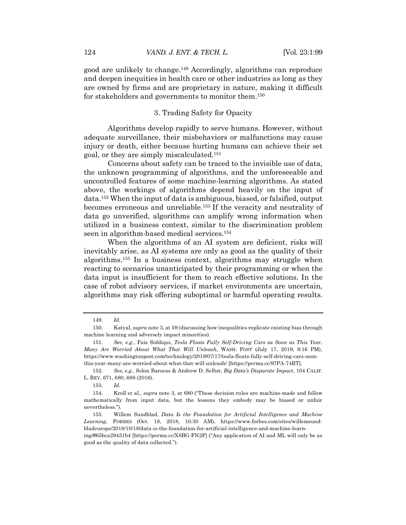good are unlikely to change.149 Accordingly, algorithms can reproduce and deepen inequities in health care or other industries as long as they are owned by firms and are proprietary in nature, making it difficult for stakeholders and governments to monitor them.150

## 3. Trading Safety for Opacity

Algorithms develop rapidly to serve humans. However, without adequate surveillance, their misbehaviors or malfunctions may cause injury or death, either because hurting humans can achieve their set goal, or they are simply miscalculated.151

Concerns about safety can be traced to the invisible use of data, the unknown programming of algorithms, and the unforeseeable and uncontrolled features of some machine-learning algorithms. As stated above, the workings of algorithms depend heavily on the input of data.152 When the input of data is ambiguous, biased, or falsified, output becomes erroneous and unreliable.153 If the veracity and neutrality of data go unverified, algorithms can amplify wrong information when utilized in a business context, similar to the discrimination problem seen in algorithm-based medical services.154

When the algorithms of an AI system are deficient, risks will inevitably arise, as AI systems are only as good as the quality of their algorithms.155 In a business context, algorithms may struggle when reacting to scenarios unanticipated by their programming or when the data input is insufficient for them to reach effective solutions. In the case of robot advisory services, if market environments are uncertain, algorithms may risk offering suboptimal or harmful operating results.

<sup>149</sup>*. Id.*

<sup>150.</sup> Katyal, *supra* note 3, at 59 (discussing how inequalities replicate existing bias through machine learning and adversely impact minorities).

<sup>151</sup>*. See, e.g.*, Faiz Siddiqui, *Tesla Floats Fully Self-Driving Cars as Soon as This Year. Many Are Worried About What That Will Unleash*, WASH. POST (July 17, 2019, 9:16 PM), https://www.washingtonpost.com/technology/2019/07/17/tesla-floats-fully-self-driving-cars-soonthis-year-many-are-worried-about-what-that-will-unleash/ [https://perma.cc/97PA-74RT].

<sup>152</sup>*. See, e.g.*, Solon Barocas & Andrew D. Selbst, *Big Data's Disparate Impact*, 104 CALIF. L. REV. 671, 680, 688 (2016).

<sup>153</sup>*. Id.*

<sup>154.</sup> Kroll et al., *supra* note 3, at 680 ("These decision rules are machine-made and follow mathematically from input data, but the lessons they embody may be biased or unfair nevertheless.").

<sup>155.</sup> Willem Sundblad, *Data Is the Foundation for Artificial Intelligence and Machine Learning*, FORBES (Oct. 18, 2018, 10:30 AM), https://www.forbes.com/sites/willemsundbladeurope/2018/10/18/data-is-the-foundation-for-artificial-intelligence-and-machine-learn-

ing/#65bca29451b4 [https://perma.cc/X8BG-FN2F] ("Any application of AI and ML will only be as good as the quality of data collected.").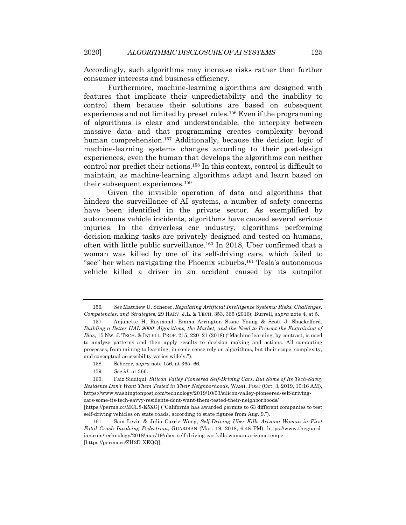Accordingly, such algorithms may increase risks rather than further consumer interests and business efficiency.

Furthermore, machine-learning algorithms are designed with features that implicate their unpredictability and the inability to control them because their solutions are based on subsequent experiences and not limited by preset rules.156 Even if the programming of algorithms is clear and understandable, the interplay between massive data and that programming creates complexity beyond human comprehension.<sup>157</sup> Additionally, because the decision logic of machine-learning systems changes according to their post-design experiences, even the human that develops the algorithms can neither control nor predict their actions.158 In this context, control is difficult to maintain, as machine-learning algorithms adapt and learn based on their subsequent experiences.159

Given the invisible operation of data and algorithms that hinders the surveillance of AI systems, a number of safety concerns have been identified in the private sector. As exemplified by autonomous vehicle incidents, algorithms have caused several serious injuries. In the driverless car industry, algorithms performing decision-making tasks are privately designed and tested on humans, often with little public surveillance.160 In 2018, Uber confirmed that a woman was killed by one of its self-driving cars, which failed to "see" her when navigating the Phoenix suburbs.161 Tesla's autonomous vehicle killed a driver in an accident caused by its autopilot

<sup>156</sup>*. See* Matthew U. Scherer, *Regulating Artificial Intelligence Systems: Risks, Challenges, Competencies, and Strategie*s, 29 HARV. J.L. & TECH. 353, 365 (2016); Burrell, *supra* note 4, at 5.

<sup>157.</sup> Anjanette H. Raymond, Emma Arrington Stone Young & Scott J. Shackelford, *Building a Better HAL 9000: Algorithms, the Market, and the Need to Prevent the Engraining of Bias*, 15 NW. J. TECH. & INTELL. PROP. 215, 220–21 (2018) ("Machine learning, by contrast, is used to analyze patterns and then apply results to decision making and actions. All computing processes, from mining to learning, in some sense rely on algorithms, but their scope, complexity, and conceptual accessibility varies widely.").

<sup>158.</sup> Scherer, *supra* note 156, at 365–66.

<sup>159</sup>*. See id.* at 366.

<sup>160.</sup> Faiz Siddiqui, *Silicon Valley Pioneered Self-Driving Cars. But Some of Its Tech-Savvy Residents Don't Want Them Tested in Their Neighborhoods*, WASH. POST (Oct. 3, 2019, 10:16 AM), https://www.washingtonpost.com/technology/2019/10/03/silicon-valley-pioneered-self-drivingcars-some-its-tech-savvy-residents-dont-want-them-tested-their-neighborhoods/ [https://perma.cc/MCL8-E5XG] ("California has awarded permits to 63 different companies to test

self-driving vehicles on state roads, according to state figures from Aug. 9.").

<sup>161.</sup> Sam Levin & Julia Carrie Wong, *Self-Driving Uber Kills Arizona Woman in First Fatal Crash Involving Pedestrian*, GUARDIAN (Mar. 19, 2018, 6:48 PM), https://www.theguardian.com/technology/2018/mar/19/uber-self-driving-car-kills-woman-arizona-tempe [https://perma.cc/ZH2D-XEQQ].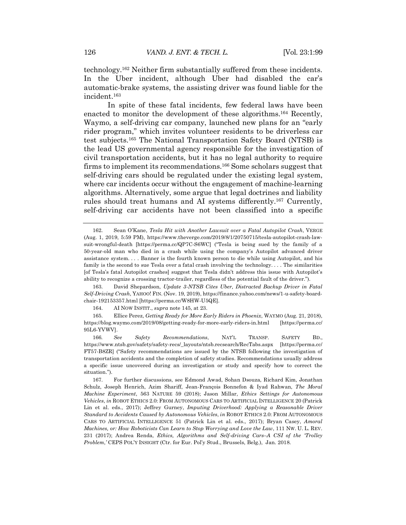technology.162 Neither firm substantially suffered from these incidents. In the Uber incident, although Uber had disabled the car's automatic-brake systems, the assisting driver was found liable for the incident.163

In spite of these fatal incidents, few federal laws have been enacted to monitor the development of these algorithms.164 Recently, Waymo, a self-driving car company, launched new plans for an "early rider program," which invites volunteer residents to be driverless car test subjects.165 The National Transportation Safety Board (NTSB) is the lead US governmental agency responsible for the investigation of civil transportation accidents, but it has no legal authority to require firms to implement its recommendations.<sup>166</sup> Some scholars suggest that self-driving cars should be regulated under the existing legal system, where car incidents occur without the engagement of machine-learning algorithms. Alternatively, some argue that legal doctrines and liability rules should treat humans and AI systems differently.167 Currently, self-driving car accidents have not been classified into a specific

163. David Shepardson, *Update 3-NTSB Cites Uber, Distracted Backup Driver in Fatal Self-Driving Crash*, YAHOO! FIN. (Nov. 19, 2019), https://finance.yahoo.com/news/1-u-safety-boardchair-192153357.html [https://perma.cc/W8HW-U5QE].

164. AI NOW INSTIT., *supra* note 145, at 23.

165. Ellice Perez, *Getting Ready for More Early Riders in Phoenix*, WAYMO (Aug. 21, 2018), https://blog.waymo.com/2019/08/getting-ready-for-more-early-riders-in.html [https://perma.cc/ 95L6-YVWV].

166*. See Safety Recommendations*, NAT'L TRANSP. SAFETY BD., https://www.ntsb.gov/safety/safety-recs/\_layouts/ntsb.recsearch/RecTabs.aspx [https://perma.cc/ FT57-B8ZR] ("Safety recommendations are issued by the NTSB following the investigation of transportation accidents and the completion of safety studies. Recommendations usually address a specific issue uncovered during an investigation or study and specify how to correct the situation.").

167. For further discussions, see Edmond Awad, Sohan Dsouza, Richard Kim, Jonathan Schulz, Joseph Henrich, Azim Shariff, Jean-François Bonnefon & Iyad Rahwan, *The Moral Machine Experiment*, 563 NATURE 59 (2018); Jason Millar, *Ethics Settings for Autonomous Vehicles*, *in* ROBOT ETHICS 2.0: FROM AUTONOMOUS CARS TO ARTIFICIAL INTELLIGENCE 20 (Patrick Lin et al. eds., 2017); Jeffrey Gurney, *Imputing Driverhood: Applying a Reasonable Driver Standard to Accidents Caused by Autonomous Vehicles*, *in* ROBOT ETHICS 2.0: FROM AUTONOMOUS CARS TO ARTIFICIAL INTELLIGENCE 51 (Patrick Lin et al. eds., 2017); Bryan Casey, *Amoral Machines, or: How Roboticists Can Learn to Stop Worrying and Love the Law*, 111 NW. U. L. REV. 231 (2017); Andrea Renda, *Ethics, Algorithms and Self-driving Cars–A CSI of the 'Trolley Problem*,*'* CEPS POL'Y INSIGHT (Ctr. for Eur. Pol'y Stud., Brussels, Belg.), Jan. 2018.

<sup>162.</sup> Sean O'Kane, *Tesla Hit with Another Lawsuit over a Fatal Autopilot Crash*, VERGE (Aug. 1, 2019, 5:59 PM), https://www.theverge.com/2019/8/1/20750715/tesla-autopilot-crash-lawsuit-wrongful-death [https://perma.cc/QP7C-S6WC] ("Tesla is being sued by the family of a 50-year-old man who died in a crash while using the company's Autopilot advanced driver assistance system. . . . Banner is the fourth known person to die while using Autopilot, and his family is the second to sue Tesla over a fatal crash involving the technology. . . . The similarities [of Tesla's fatal Autopilot crashes] suggest that Tesla didn't address this issue with Autopilot's ability to recognize a crossing tractor-trailer, regardless of the potential fault of the driver.").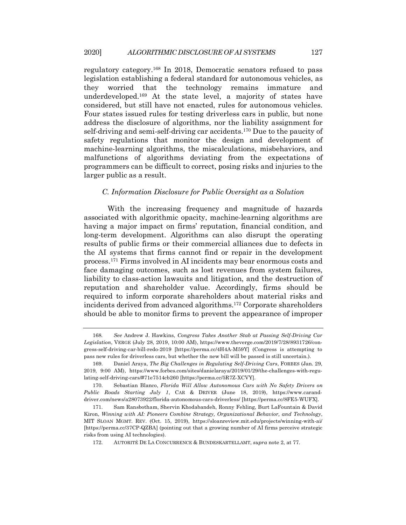regulatory category.168 In 2018, Democratic senators refused to pass legislation establishing a federal standard for autonomous vehicles, as they worried that the technology remains immature and underdeveloped.169 At the state level, a majority of states have considered, but still have not enacted, rules for autonomous vehicles. Four states issued rules for testing driverless cars in public, but none address the disclosure of algorithms, nor the liability assignment for self-driving and semi-self-driving car accidents.170 Due to the paucity of safety regulations that monitor the design and development of machine-learning algorithms, the miscalculations, misbehaviors, and malfunctions of algorithms deviating from the expectations of programmers can be difficult to correct, posing risks and injuries to the larger public as a result.

#### *C. Information Disclosure for Public Oversight as a Solution*

With the increasing frequency and magnitude of hazards associated with algorithmic opacity, machine-learning algorithms are having a major impact on firms' reputation, financial condition, and long-term development. Algorithms can also disrupt the operating results of public firms or their commercial alliances due to defects in the AI systems that firms cannot find or repair in the development process.171 Firms involved in AI incidents may bear enormous costs and face damaging outcomes, such as lost revenues from system failures, liability to class-action lawsuits and litigation, and the destruction of reputation and shareholder value. Accordingly, firms should be required to inform corporate shareholders about material risks and incidents derived from advanced algorithms.172 Corporate shareholders should be able to monitor firms to prevent the appearance of improper

<sup>168</sup>*. See* Andrew J. Hawkins, *Congress Takes Another Stab at Passing Self-Driving Car Legislation*, VERGE (July 28, 2019, 10:00 AM), https://www.theverge.com/2019/7/28/8931726/congress-self-driving-car-bill-redo-2019 [https://perma.cc/4H4A-M59Y] (Congress is attempting to pass new rules for driverless cars, but whether the new bill will be passed is still uncertain.).

<sup>169.</sup> Daniel Araya, *The Big Challenges in Regulating Self-Driving Cars*, FORBES (Jan. 29, 2019, 9:00 AM), https://www.forbes.com/sites/danielaraya/2019/01/29/the-challenges-with-regulating-self-driving-cars/#71e7514cb260 [https://perma.cc/5R7Z-XCVY].

<sup>170.</sup> Sebastian Blanco, *Florida Will Allow Autonomous Cars with No Safety Drivers on Public Roads Starting July 1*, CAR & DRIVER (June 18, 2019), https://www.caranddriver.com/news/a28073922/florida-autonomous-cars-driverless/ [https://perma.cc/8FE5-WUFX].

<sup>171.</sup> Sam Ransbotham, Shervin Khodabandeh, Ronny Fehling, Burt LaFountain & David Kiron, *Winning with AI: Pioneers Combine Strategy, Organizational Behavior, and Technology*, MIT SLOAN MGMT. REV. (Oct. 15, 2019), https://sloanreview.mit.edu/projects/winning-with-ai/ [https://perma.cc/37CP-QZBA] (pointing out that a growing number of AI firms perceive strategic risks from using AI technologies).

<sup>172.</sup> AUTORITÉ DE LA CONCURRENCE & BUNDESKARTELLAMT, *supra* note 2, at 77.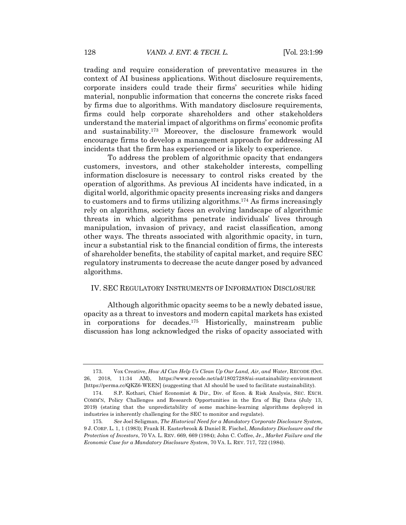trading and require consideration of preventative measures in the context of AI business applications. Without disclosure requirements, corporate insiders could trade their firms' securities while hiding material, nonpublic information that concerns the concrete risks faced by firms due to algorithms. With mandatory disclosure requirements, firms could help corporate shareholders and other stakeholders understand the material impact of algorithms on firms' economic profits and sustainability.173 Moreover, the disclosure framework would encourage firms to develop a management approach for addressing AI incidents that the firm has experienced or is likely to experience.

To address the problem of algorithmic opacity that endangers customers, investors, and other stakeholder interests, compelling information disclosure is necessary to control risks created by the operation of algorithms. As previous AI incidents have indicated, in a digital world, algorithmic opacity presents increasing risks and dangers to customers and to firms utilizing algorithms.174 As firms increasingly rely on algorithms, society faces an evolving landscape of algorithmic threats in which algorithms penetrate individuals' lives through manipulation, invasion of privacy, and racist classification, among other ways. The threats associated with algorithmic opacity, in turn, incur a substantial risk to the financial condition of firms, the interests of shareholder benefits, the stability of capital market, and require SEC regulatory instruments to decrease the acute danger posed by advanced algorithms.

#### IV. SEC REGULATORY INSTRUMENTS OF INFORMATION DISCLOSURE

Although algorithmic opacity seems to be a newly debated issue, opacity as a threat to investors and modern capital markets has existed in corporations for decades.175 Historically, mainstream public discussion has long acknowledged the risks of opacity associated with

<sup>173.</sup> Vox Creative, *How AI Can Help Us Clean Up Our Land, Air, and Water*, RECODE (Oct. 26, 2018, 11:34 AM), https://www.recode.net/ad/18027288/ai-sustainability-environment [https://perma.cc/QKZ6-WEEN] (suggesting that AI should be used to facilitate sustainability).

<sup>174.</sup> S.P. Kothari, Chief Economist & Dir., Div. of Econ. & Risk Analysis, SEC. EXCH. COMM'N, Policy Challenges and Research Opportunities in the Era of Big Data (July 13, 2019) (stating that the unpredictability of some machine-learning algorithms deployed in industries is inherently challenging for the SEC to monitor and regulate).

<sup>175</sup>*. See* Joel Seligman, *The Historical Need for a Mandatory Corporate Disclosure System*, 9 J. CORP. L. 1, 1 (1983); Frank H. Easterbrook & Daniel R. Fischel, *Mandatory Disclosure and the Protection of Investors*, 70 VA. L. REV. 669, 669 (1984); John C. Coffee, Jr., *Market Failure and the Economic Case for a Mandatory Disclosure System*, 70 VA. L. REV. 717, 722 (1984).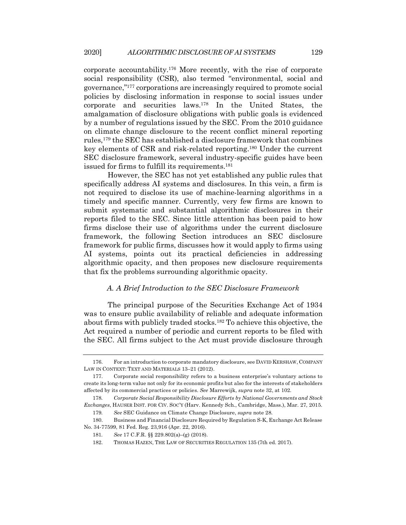corporate accountability.176 More recently, with the rise of corporate social responsibility (CSR), also termed "environmental, social and governance,"177 corporations are increasingly required to promote social policies by disclosing information in response to social issues under corporate and securities laws.178 In the United States, the amalgamation of disclosure obligations with public goals is evidenced by a number of regulations issued by the SEC. From the 2010 guidance on climate change disclosure to the recent conflict mineral reporting rules,179 the SEC has established a disclosure framework that combines key elements of CSR and risk-related reporting.180 Under the current SEC disclosure framework, several industry-specific guides have been issued for firms to fulfill its requirements.181

However, the SEC has not yet established any public rules that specifically address AI systems and disclosures. In this vein, a firm is not required to disclose its use of machine-learning algorithms in a timely and specific manner. Currently, very few firms are known to submit systematic and substantial algorithmic disclosures in their reports filed to the SEC. Since little attention has been paid to how firms disclose their use of algorithms under the current disclosure framework, the following Section introduces an SEC disclosure framework for public firms, discusses how it would apply to firms using AI systems, points out its practical deficiencies in addressing algorithmic opacity, and then proposes new disclosure requirements that fix the problems surrounding algorithmic opacity.

#### *A. A Brief Introduction to the SEC Disclosure Framework*

The principal purpose of the Securities Exchange Act of 1934 was to ensure public availability of reliable and adequate information about firms with publicly traded stocks.182 To achieve this objective, the Act required a number of periodic and current reports to be filed with the SEC. All firms subject to the Act must provide disclosure through

<sup>176.</sup> For an introduction to corporate mandatory disclosure, see DAVID KERSHAW, COMPANY LAW IN CONTEXT: TEXT AND MATERIALS 13–21 (2012).

<sup>177.</sup> Corporate social responsibility refers to a business enterprise's voluntary actions to create its long-term value not only for its economic profits but also for the interests of stakeholders affected by its commercial practices or policies. *See* Marrewijk, *supra* note 32, at 102.

<sup>178</sup>*. Corporate Social Responsibility Disclosure Efforts by National Governments and Stock Exchanges*, HAUSER INST. FOR CIV. SOC'Y (Harv. Kennedy Sch., Cambridge, Mass.), Mar. 27, 2015. 179*. See* SEC Guidance on Climate Change Disclosure, *supra* note 28.

<sup>180.</sup> Business and Financial Disclosure Required by Regulation S-K, Exchange Act Release

No. 34-77599, 81 Fed. Reg. 23,916 (Apr. 22, 2016). 181*. See* 17 C.F.R. §§ 229.802(a)–(g) (2018).

<sup>182.</sup> THOMAS HAZEN, THE LAW OF SECURITIES REGULATION 135 (7th ed. 2017).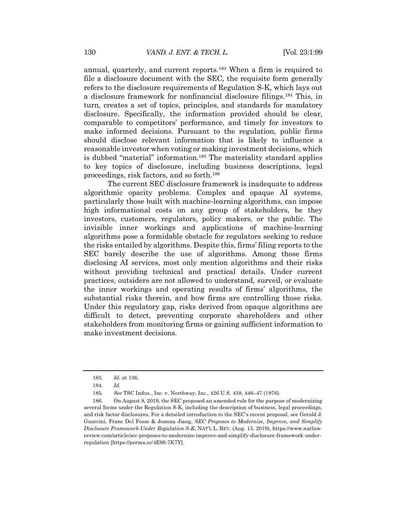annual, quarterly, and current reports.183 When a firm is required to file a disclosure document with the SEC, the requisite form generally refers to the disclosure requirements of Regulation S-K, which lays out a disclosure framework for nonfinancial disclosure filings.184 This, in turn, creates a set of topics, principles, and standards for mandatory disclosure. Specifically, the information provided should be clear, comparable to competitors' performance, and timely for investors to make informed decisions. Pursuant to the regulation, public firms should disclose relevant information that is likely to influence a reasonable investor when voting or making investment decisions, which is dubbed "material" information.<sup>185</sup> The materiality standard applies to key topics of disclosure, including business descriptions, legal proceedings, risk factors, and so forth.186

The current SEC disclosure framework is inadequate to address algorithmic opacity problems. Complex and opaque AI systems, particularly those built with machine-learning algorithms, can impose high informational costs on any group of stakeholders, be they investors, customers, regulators, policy makers, or the public. The invisible inner workings and applications of machine-learning algorithms pose a formidable obstacle for regulators seeking to reduce the risks entailed by algorithms. Despite this, firms' filing reports to the SEC barely describe the use of algorithms. Among those firms disclosing AI services, most only mention algorithms and their risks without providing technical and practical details. Under current practices, outsiders are not allowed to understand, surveil, or evaluate the inner workings and operating results of firms' algorithms, the substantial risks therein, and how firms are controlling those risks. Under this regulatory gap, risks derived from opaque algorithms are difficult to detect, preventing corporate shareholders and other stakeholders from monitoring firms or gaining sufficient information to make investment decisions.

<sup>183</sup>*. Id.* at 136.

<sup>184</sup>*. Id.*

<sup>185</sup>*. See* TSC Indus., Inc. v. Northway, Inc., 426 U.S. 438, 446–47 (1976).

<sup>186.</sup> On August 8, 2019, the SEC proposed an amended rule for the purpose of modernizing several Items under the Regulation S-K, including the description of business, legal proceedings, and risk factor disclosures. For a detailed introduction to the SEC's recent proposal, see Gerald J. Guarcini, Franc Del Fosse & Joanna Jiang, *SEC Proposes to Modernize, Improve, and Simplify Disclosure Framework Under Regulation S-K*, NAT'L L. REV. (Aug. 15, 2019), https://www.natlawreview.com/article/sec-proposes-to-modernize-improve-and-simplify-disclosure-framework-underregulation [https://perma.cc/4E96-7K7Y].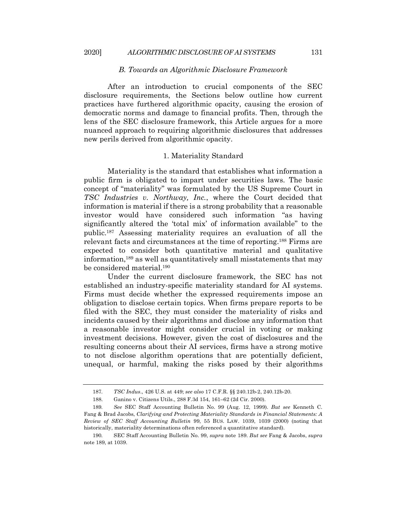#### *B. Towards an Algorithmic Disclosure Framework*

After an introduction to crucial components of the SEC disclosure requirements, the Sections below outline how current practices have furthered algorithmic opacity, causing the erosion of democratic norms and damage to financial profits. Then, through the lens of the SEC disclosure framework, this Article argues for a more nuanced approach to requiring algorithmic disclosures that addresses new perils derived from algorithmic opacity.

## 1. Materiality Standard

Materiality is the standard that establishes what information a public firm is obligated to impart under securities laws. The basic concept of "materiality" was formulated by the US Supreme Court in *TSC Industries v. Northway, Inc.*, where the Court decided that information is material if there is a strong probability that a reasonable investor would have considered such information "as having significantly altered the 'total mix' of information available" to the public.187 Assessing materiality requires an evaluation of all the relevant facts and circumstances at the time of reporting.188 Firms are expected to consider both quantitative material and qualitative information,189 as well as quantitatively small misstatements that may be considered material.190

Under the current disclosure framework, the SEC has not established an industry-specific materiality standard for AI systems. Firms must decide whether the expressed requirements impose an obligation to disclose certain topics. When firms prepare reports to be filed with the SEC, they must consider the materiality of risks and incidents caused by their algorithms and disclose any information that a reasonable investor might consider crucial in voting or making investment decisions. However, given the cost of disclosures and the resulting concerns about their AI services, firms have a strong motive to not disclose algorithm operations that are potentially deficient, unequal, or harmful, making the risks posed by their algorithms

<sup>187</sup>*. TSC Indus*., 426 U.S. at 449; *see also* 17 C.F.R. §§ 240.12b-2, 240.12b-20.

<sup>188.</sup> Ganino v. Citizens Utils., 288 F.3d 154, 161–62 (2d Cir. 2000).

<sup>189</sup>*. See* SEC Staff Accounting Bulletin No. 99 (Aug. 12, 1999). *But see* Kenneth C. Fang & Brad Jacobs, *Clarifying and Protecting Materiality Standards in Financial Statements: A Review of SEC Staff Accounting Bulletin* 99, 55 BUS. LAW. 1039, 1039 (2000) (noting that historically, materiality determinations often referenced a quantitative standard).

<sup>190</sup>*.* SEC Staff Accounting Bulletin No. 99, *supra* note 189. *But see* Fang & Jacobs, *supra*  note 189, at 1039.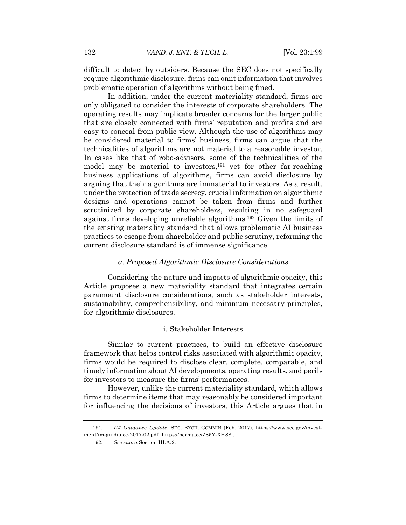difficult to detect by outsiders. Because the SEC does not specifically require algorithmic disclosure, firms can omit information that involves problematic operation of algorithms without being fined.

In addition, under the current materiality standard, firms are only obligated to consider the interests of corporate shareholders. The operating results may implicate broader concerns for the larger public that are closely connected with firms' reputation and profits and are easy to conceal from public view. Although the use of algorithms may be considered material to firms' business, firms can argue that the technicalities of algorithms are not material to a reasonable investor. In cases like that of robo-advisors, some of the technicalities of the model may be material to investors,<sup>191</sup> yet for other far-reaching business applications of algorithms, firms can avoid disclosure by arguing that their algorithms are immaterial to investors. As a result, under the protection of trade secrecy, crucial information on algorithmic designs and operations cannot be taken from firms and further scrutinized by corporate shareholders, resulting in no safeguard against firms developing unreliable algorithms.192 Given the limits of the existing materiality standard that allows problematic AI business practices to escape from shareholder and public scrutiny, reforming the current disclosure standard is of immense significance.

#### *a. Proposed Algorithmic Disclosure Considerations*

Considering the nature and impacts of algorithmic opacity, this Article proposes a new materiality standard that integrates certain paramount disclosure considerations, such as stakeholder interests, sustainability, comprehensibility, and minimum necessary principles, for algorithmic disclosures.

#### i. Stakeholder Interests

Similar to current practices, to build an effective disclosure framework that helps control risks associated with algorithmic opacity, firms would be required to disclose clear, complete, comparable, and timely information about AI developments, operating results, and perils for investors to measure the firms' performances.

However, unlike the current materiality standard, which allows firms to determine items that may reasonably be considered important for influencing the decisions of investors, this Article argues that in

<sup>191</sup>*. IM Guidance Update*, SEC. EXCH. COMM'N (Feb. 2017), https://www.sec.gov/investment/im-guidance-2017-02.pdf [https://perma.cc/Z85Y-XH88].

<sup>192</sup>*. See supra* Section III.A.2.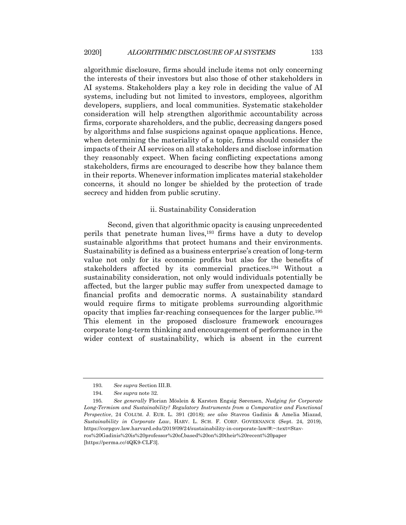algorithmic disclosure, firms should include items not only concerning the interests of their investors but also those of other stakeholders in AI systems. Stakeholders play a key role in deciding the value of AI systems, including but not limited to investors, employees, algorithm developers, suppliers, and local communities. Systematic stakeholder consideration will help strengthen algorithmic accountability across firms, corporate shareholders, and the public, decreasing dangers posed by algorithms and false suspicions against opaque applications. Hence, when determining the materiality of a topic, firms should consider the impacts of their AI services on all stakeholders and disclose information they reasonably expect. When facing conflicting expectations among stakeholders, firms are encouraged to describe how they balance them in their reports. Whenever information implicates material stakeholder concerns, it should no longer be shielded by the protection of trade secrecy and hidden from public scrutiny.

#### ii. Sustainability Consideration

Second, given that algorithmic opacity is causing unprecedented perils that penetrate human lives,193 firms have a duty to develop sustainable algorithms that protect humans and their environments. Sustainability is defined as a business enterprise's creation of long-term value not only for its economic profits but also for the benefits of stakeholders affected by its commercial practices.194 Without a sustainability consideration, not only would individuals potentially be affected, but the larger public may suffer from unexpected damage to financial profits and democratic norms. A sustainability standard would require firms to mitigate problems surrounding algorithmic opacity that implies far-reaching consequences for the larger public.195 This element in the proposed disclosure framework encourages corporate long-term thinking and encouragement of performance in the wider context of sustainability, which is absent in the current

<sup>193</sup>*. See supra* Section III.B.

<sup>194</sup>*. See supra* note 32.

<sup>195</sup>*. See generally* Florian Möslein & Karsten Engsig Sørensen, *Nudging for Corporate Long*-*Termism and Sustainability? Regulatory Instruments from a Comparative and Functional Perspective*, 24 COLUM. J. EUR. L. 391 (2018); *see also* Stavros Gadinis & Amelia Miazad, *Sustainability in Corporate Law*, HARV. L. SCH. F. CORP. GOVERNANCE (Sept. 24, 2019), https://corpgov.law.harvard.edu/2019/09/24/sustainability-in-corporate-law/#:~:text=Stavros%20Gadinis%20is%20professor%20of,based%20on%20their%20recent%20paper [https://perma.cc/4QK9-CLF3].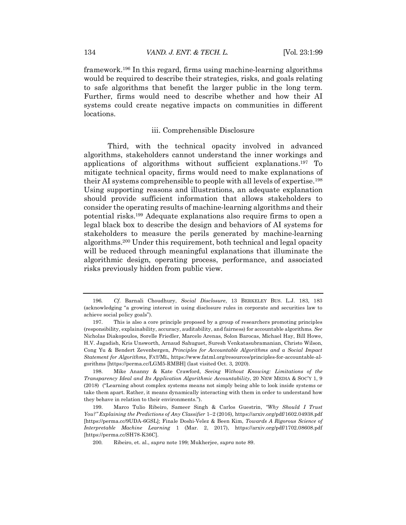framework.196 In this regard, firms using machine-learning algorithms would be required to describe their strategies, risks, and goals relating to safe algorithms that benefit the larger public in the long term. Further, firms would need to describe whether and how their AI systems could create negative impacts on communities in different locations.

#### iii. Comprehensible Disclosure

Third, with the technical opacity involved in advanced algorithms, stakeholders cannot understand the inner workings and applications of algorithms without sufficient explanations.197 To mitigate technical opacity, firms would need to make explanations of their AI systems comprehensible to people with all levels of expertise.198 Using supporting reasons and illustrations, an adequate explanation should provide sufficient information that allows stakeholders to consider the operating results of machine-learning algorithms and their potential risks.199 Adequate explanations also require firms to open a legal black box to describe the design and behaviors of AI systems for stakeholders to measure the perils generated by machine-learning algorithms.200 Under this requirement, both technical and legal opacity will be reduced through meaningful explanations that illuminate the algorithmic design, operating process, performance, and associated risks previously hidden from public view.

<sup>196</sup>*. Cf*. Barnali Choudhury, *Social Disclosure*, 13 BERKELEY BUS. L.J. 183, 183 (acknowledging "a growing interest in using disclosure rules in corporate and securities law to achieve social policy goals").

<sup>197.</sup> This is also a core principle proposed by a group of researchers promoting principles (responsibility, explainability, accuracy, auditability, and fairness) for accountable algorithms*. See* Nicholas Diakopoulos, Sorelle Friedler, Marcelo Arenas, Solon Barocas, Michael Hay, Bill Howe, H.V. Jagadish, Kris Unsworth, Arnaud Sahuguet, Suresh Venkatasubramanian, Christo Wilson, Cong Yu & Bendert Zevenbergen, *Principles for Accountable Algorithms and a Social Impact Statement for Algorithms*, FAT/ML, https://www.fatml.org/resources/principles-for-accountable-algorithms [https://perma.cc/LGM5-RMBH] (last visited Oct. 3, 2020).

<sup>198.</sup> Mike Ananny & Kate Crawford, *Seeing Without Knowing: Limitations of the Transparency Ideal and Its Application Algorithmic Accountability*, 20 NEW MEDIA & SOC'Y 1, 9 (2018) ("Learning about complex systems means not simply being able to look inside systems or take them apart. Rather, it means dynamically interacting with them in order to understand how they behave in relation to their environments.").

<sup>199.</sup> Marco Tulio Ribeiro, Sameer Singh & Carlos Guestrin, *"Why Should I Trust You?" Explaining the Predictions of Any Classifier* 1–2 (2016), https://arxiv.org/pdf/1602.04938.pdf [https://perma.cc/9UDA-6GSL]; Finale Doshi-Velez & Been Kim, *Towards A Rigorous Science of Interpretable Machine Learning* 1 (Mar. 2, 2017), https://arxiv.org/pdf/1702.08608.pdf [https://perma.cc/SH78-K36C].

<sup>200</sup>*.* Ribeiro, et. al., *supra* note 199; Mukherjee, *supra* note 89.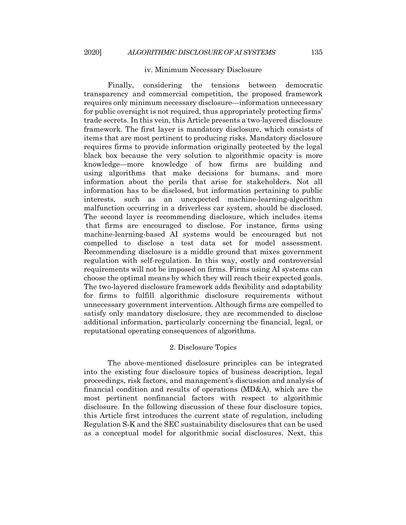#### iv. Minimum Necessary Disclosure

Finally, considering the tensions between democratic transparency and commercial competition, the proposed framework requires only minimum necessary disclosure—information unnecessary for public oversight is not required, thus appropriately protecting firms' trade secrets. In this vein, this Article presents a two-layered disclosure framework. The first layer is mandatory disclosure, which consists of items that are most pertinent to producing risks. Mandatory disclosure requires firms to provide information originally protected by the legal black box because the very solution to algorithmic opacity is more knowledge—more knowledge of how firms are building and using algorithms that make decisions for humans, and more information about the perils that arise for stakeholders. Not all information has to be disclosed, but information pertaining to public interests, such as an unexpected machine-learning-algorithm malfunction occurring in a driverless car system, should be disclosed. The second layer is recommending disclosure, which includes items that firms are encouraged to disclose. For instance, firms using machine-learning-based AI systems would be encouraged but not compelled to disclose a test data set for model assessment. Recommending disclosure is a middle ground that mixes government regulation with self-regulation. In this way, costly and controversial requirements will not be imposed on firms. Firms using AI systems can choose the optimal means by which they will reach their expected goals. The two-layered disclosure framework adds flexibility and adaptability for firms to fulfill algorithmic disclosure requirements without unnecessary government intervention. Although firms are compelled to satisfy only mandatory disclosure, they are recommended to disclose additional information, particularly concerning the financial, legal, or reputational operating consequences of algorithms.

#### 2. Disclosure Topics

The above-mentioned disclosure principles can be integrated into the existing four disclosure topics of business description, legal proceedings, risk factors, and management's discussion and analysis of financial condition and results of operations (MD&A), which are the most pertinent nonfinancial factors with respect to algorithmic disclosure. In the following discussion of these four disclosure topics, this Article first introduces the current state of regulation, including Regulation S-K and the SEC sustainability disclosures that can be used as a conceptual model for algorithmic social disclosures. Next, this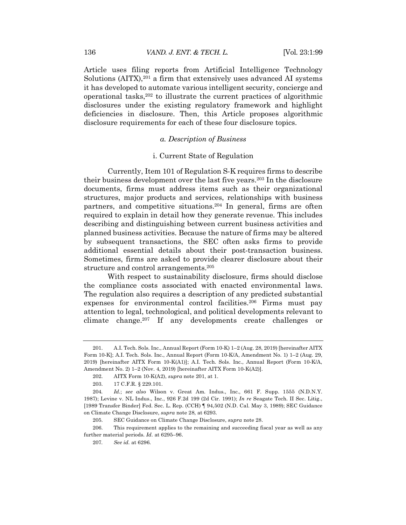Article uses filing reports from Artificial Intelligence Technology Solutions (AITX),<sup>201</sup> a firm that extensively uses advanced AI systems it has developed to automate various intelligent security, concierge and operational tasks,202 to illustrate the current practices of algorithmic disclosures under the existing regulatory framework and highlight deficiencies in disclosure. Then, this Article proposes algorithmic disclosure requirements for each of these four disclosure topics.

## *a. Description of Business*

#### i. Current State of Regulation

Currently, Item 101 of Regulation S-K requires firms to describe their business development over the last five years.203 In the disclosure documents, firms must address items such as their organizational structures, major products and services, relationships with business partners, and competitive situations.204 In general, firms are often required to explain in detail how they generate revenue. This includes describing and distinguishing between current business activities and planned business activities. Because the nature of firms may be altered by subsequent transactions, the SEC often asks firms to provide additional essential details about their post-transaction business. Sometimes, firms are asked to provide clearer disclosure about their structure and control arrangements.205

With respect to sustainability disclosure, firms should disclose the compliance costs associated with enacted environmental laws. The regulation also requires a description of any predicted substantial expenses for environmental control facilities.206 Firms must pay attention to legal, technological, and political developments relevant to climate change.207 If any developments create challenges or

<sup>201.</sup> A.I. Tech. Sols. Inc., Annual Report (Form 10-K) 1–2 (Aug. 28, 2019) [hereinafter AITX Form 10-K]; A.I. Tech. Sols. Inc., Annual Report (Form 10-K/A, Amendment No. 1) 1–2 (Aug. 29, 2019) [hereinafter AITX Form 10-K(A1)]; A.I. Tech. Sols. Inc., Annual Report (Form 10-K/A, Amendment No. 2) 1–2 (Nov. 4, 2019) [hereinafter AITX Form 10-K(A2)].

<sup>202.</sup> AITX Form 10-K(A2), *supra* note 201, at 1.

<sup>203.</sup> 17 C.F.R. § 229.101.

<sup>204</sup>*. Id.*; *see also* Wilson v. Great Am. Indus., Inc., 661 F. Supp. 1555 (N.D.N.Y. 1987); Levine v. NL Indus., Inc., 926 F.2d 199 (2d Cir. 1991); *In re* Seagate Tech. II Sec. Litig., [1989 Transfer Binder] Fed. Sec. L. Rep. (CCH) ¶ 94,502 (N.D. Cal. May 3, 1989); SEC Guidance on Climate Change Disclosure, *supra* note 28, at 6293.

<sup>205.</sup> SEC Guidance on Climate Change Disclosure, *supra* note 28.

<sup>206.</sup> This requirement applies to the remaining and succeeding fiscal year as well as any further material periods. *Id.* at 6295–96.

<sup>207</sup>*. See id.* at 6296.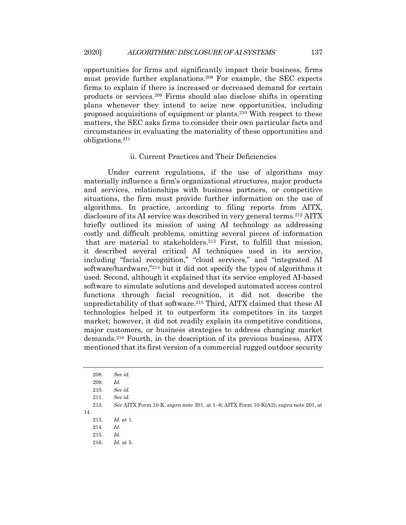opportunities for firms and significantly impact their business, firms must provide further explanations.208 For example, the SEC expects firms to explain if there is increased or decreased demand for certain products or services.209 Firms should also disclose shifts in operating plans whenever they intend to seize new opportunities, including proposed acquisitions of equipment or plants.210 With respect to these matters, the SEC asks firms to consider their own particular facts and circumstances in evaluating the materiality of these opportunities and obligations.211

## ii. Current Practices and Their Deficiencies

Under current regulations, if the use of algorithms may materially influence a firm's organizational structures, major products and services, relationships with business partners, or competitive situations, the firm must provide further information on the use of algorithms. In practice, according to filing reports from AITX, disclosure of its AI service was described in very general terms.212 AITX briefly outlined its mission of using AI technology as addressing costly and difficult problems, omitting several pieces of information that are material to stakeholders.213 First, to fulfill that mission, it described several critical AI techniques used in its service, including "facial recognition," "cloud services," and "integrated AI software/hardware,"214 but it did not specify the types of algorithms it used. Second, although it explained that its service employed AI-based software to simulate solutions and developed automated access control functions through facial recognition, it did not describe the unpredictability of that software.215 Third, AITX claimed that these AI technologies helped it to outperform its competitors in its target market; however, it did not readily explain its competitive conditions, major customers, or business strategies to address changing market demands.216 Fourth, in the description of its previous business, AITX mentioned that its first version of a commercial rugged outdoor security

<sup>208</sup>*. See id.*

<sup>209</sup>*. Id.*

<sup>210</sup>*. See id.*

<sup>211</sup>*. See id.*

<sup>212</sup>*. See* AITX Form 10-K, *supra* note 201, at 1–6; AITX Form 10-K(A2), *supra* note 201, at 14.

<sup>213</sup>*. Id.* at 1.

<sup>214</sup>*. Id.*

<sup>215</sup>*. Id.*

<sup>216</sup>*. Id.* at 5.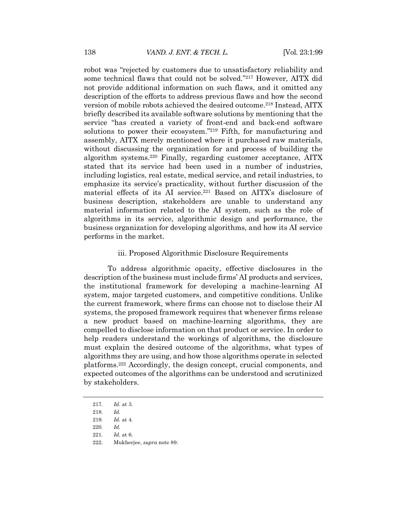robot was "rejected by customers due to unsatisfactory reliability and some technical flaws that could not be solved."217 However, AITX did not provide additional information on such flaws, and it omitted any description of the efforts to address previous flaws and how the second version of mobile robots achieved the desired outcome.<sup>218</sup> Instead, AITX briefly described its available software solutions by mentioning that the service "has created a variety of front-end and back-end software solutions to power their ecosystem."<sup>219</sup> Fifth, for manufacturing and assembly, AITX merely mentioned where it purchased raw materials, without discussing the organization for and process of building the algorithm systems.220 Finally, regarding customer acceptance, AITX stated that its service had been used in a number of industries, including logistics, real estate, medical service, and retail industries, to emphasize its service's practicality, without further discussion of the material effects of its AI service.221 Based on AITX's disclosure of business description, stakeholders are unable to understand any material information related to the AI system, such as the role of algorithms in its service, algorithmic design and performance, the business organization for developing algorithms, and how its AI service performs in the market.

#### iii. Proposed Algorithmic Disclosure Requirements

To address algorithmic opacity, effective disclosures in the description of the business must include firms' AI products and services, the institutional framework for developing a machine-learning AI system, major targeted customers, and competitive conditions. Unlike the current framework, where firms can choose not to disclose their AI systems, the proposed framework requires that whenever firms release a new product based on machine-learning algorithms, they are compelled to disclose information on that product or service. In order to help readers understand the workings of algorithms, the disclosure must explain the desired outcome of the algorithms, what types of algorithms they are using, and how those algorithms operate in selected platforms.222 Accordingly, the design concept, crucial components, and expected outcomes of the algorithms can be understood and scrutinized by stakeholders.

<sup>217</sup>*. Id.* at 3.

<sup>218</sup>*. Id.*

<sup>219</sup>*. Id.* at 4.

<sup>220</sup>*. Id.* 

<sup>221</sup>*. Id.* at 6.

<sup>222.</sup> Mukherjee, *supra* note 89.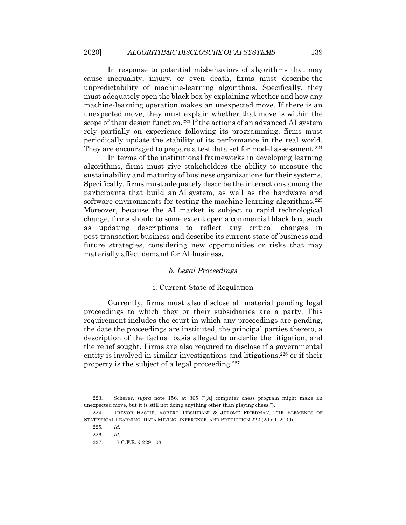In response to potential misbehaviors of algorithms that may cause inequality, injury, or even death, firms must describe the unpredictability of machine-learning algorithms. Specifically, they must adequately open the black box by explaining whether and how any machine-learning operation makes an unexpected move. If there is an unexpected move, they must explain whether that move is within the scope of their design function.223 If the actions of an advanced AI system rely partially on experience following its programming, firms must periodically update the stability of its performance in the real world. They are encouraged to prepare a test data set for model assessment.<sup>224</sup>

In terms of the institutional frameworks in developing learning algorithms, firms must give stakeholders the ability to measure the sustainability and maturity of business organizations for their systems. Specifically, firms must adequately describe the interactions among the participants that build an AI system, as well as the hardware and software environments for testing the machine-learning algorithms.<sup>225</sup> Moreover, because the AI market is subject to rapid technological change, firms should to some extent open a commercial black box, such as updating descriptions to reflect any critical changes in post-transaction business and describe its current state of business and future strategies, considering new opportunities or risks that may materially affect demand for AI business.

## *b. Legal Proceedings*

## i. Current State of Regulation

Currently, firms must also disclose all material pending legal proceedings to which they or their subsidiaries are a party. This requirement includes the court in which any proceedings are pending, the date the proceedings are instituted, the principal parties thereto, a description of the factual basis alleged to underlie the litigation, and the relief sought. Firms are also required to disclose if a governmental entity is involved in similar investigations and litigations, $226$  or if their property is the subject of a legal proceeding.227

<sup>223.</sup> Scherer, *supra* note 156, at 365 ("[A] computer chess program might make an unexpected move, but it is still not doing anything other than playing chess.").

<sup>224.</sup> TREVOR HASTIE, ROBERT TIBSHIRANI & JEROME FRIEDMAN, THE ELEMENTS OF STATISTICAL LEARNING: DATA MINING, INFERENCE, AND PREDICTION 222 (2d ed. 2009).

<sup>225</sup>*. Id.*

<sup>226</sup>*. Id.*

<sup>227.</sup> 17 C.F.R. § 229.103.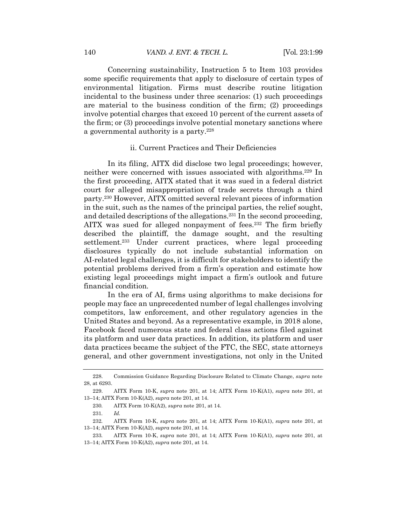Concerning sustainability, Instruction 5 to Item 103 provides some specific requirements that apply to disclosure of certain types of environmental litigation. Firms must describe routine litigation incidental to the business under three scenarios: (1) such proceedings are material to the business condition of the firm; (2) proceedings involve potential charges that exceed 10 percent of the current assets of the firm; or (3) proceedings involve potential monetary sanctions where a governmental authority is a party.228

#### ii. Current Practices and Their Deficiencies

In its filing, AITX did disclose two legal proceedings; however, neither were concerned with issues associated with algorithms.229 In the first proceeding, AITX stated that it was sued in a federal district court for alleged misappropriation of trade secrets through a third party.230 However, AITX omitted several relevant pieces of information in the suit, such as the names of the principal parties, the relief sought, and detailed descriptions of the allegations.231 In the second proceeding, AITX was sued for alleged nonpayment of fees.<sup>232</sup> The firm briefly described the plaintiff, the damage sought, and the resulting settlement.<sup>233</sup> Under current practices, where legal proceeding disclosures typically do not include substantial information on AI-related legal challenges, it is difficult for stakeholders to identify the potential problems derived from a firm's operation and estimate how existing legal proceedings might impact a firm's outlook and future financial condition.

In the era of AI, firms using algorithms to make decisions for people may face an unprecedented number of legal challenges involving competitors, law enforcement, and other regulatory agencies in the United States and beyond. As a representative example, in 2018 alone, Facebook faced numerous state and federal class actions filed against its platform and user data practices. In addition, its platform and user data practices became the subject of the FTC, the SEC, state attorneys general, and other government investigations, not only in the United

<sup>228.</sup> Commission Guidance Regarding Disclosure Related to Climate Change, *supra* note 28, at 6293.

<sup>229.</sup> AITX Form 10-K, *supra* note 201, at 14; AITX Form 10-K(A1), *supra* note 201, at 13–14; AITX Form 10-K(A2), *supra* note 201, at 14.

<sup>230</sup>*.* AITX Form 10-K(A2), *supra* note 201, at 14.

<sup>231</sup>*. Id.*

<sup>232</sup>*.* AITX Form 10-K, *supra* note 201, at 14; AITX Form 10-K(A1), *supra* note 201, at 13–14; AITX Form 10-K(A2), *supra* note 201, at 14.

<sup>233</sup>*.* AITX Form 10-K, *supra* note 201, at 14; AITX Form 10-K(A1), *supra* note 201, at 13–14; AITX Form 10-K(A2), *supra* note 201, at 14.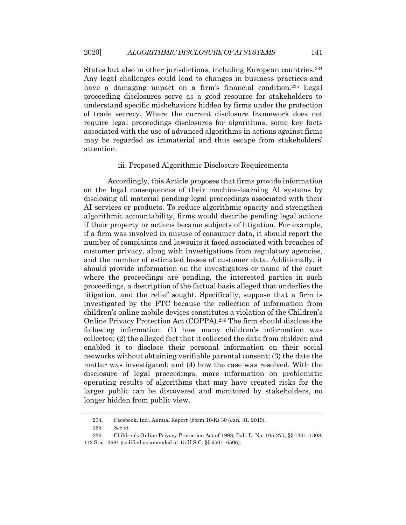States but also in other jurisdictions, including European countries.<sup>234</sup> Any legal challenges could lead to changes in business practices and have a damaging impact on a firm's financial condition.<sup>235</sup> Legal proceeding disclosures serve as a good resource for stakeholders to understand specific misbehaviors hidden by firms under the protection of trade secrecy. Where the current disclosure framework does not require legal proceedings disclosures for algorithms, some key facts associated with the use of advanced algorithms in actions against firms may be regarded as immaterial and thus escape from stakeholders' attention.

#### iii. Proposed Algorithmic Disclosure Requirements

Accordingly, this Article proposes that firms provide information on the legal consequences of their machine-learning AI systems by disclosing all material pending legal proceedings associated with their AI services or products. To reduce algorithmic opacity and strengthen algorithmic accountability, firms would describe pending legal actions if their property or actions became subjects of litigation. For example, if a firm was involved in misuse of consumer data, it should report the number of complaints and lawsuits it faced associated with breaches of customer privacy, along with investigations from regulatory agencies, and the number of estimated losses of customer data. Additionally, it should provide information on the investigators or name of the court where the proceedings are pending, the interested parties in such proceedings, a description of the factual basis alleged that underlies the litigation, and the relief sought. Specifically, suppose that a firm is investigated by the FTC because the collection of information from children's online mobile devices constitutes a violation of the Children's Online Privacy Protection Act (COPPA).236 The firm should disclose the following information: (1) how many children's information was collected; (2) the alleged fact that it collected the data from children and enabled it to disclose their personal information on their social networks without obtaining verifiable parental consent; (3) the date the matter was investigated; and (4) how the case was resolved. With the disclosure of legal proceedings, more information on problematic operating results of algorithms that may have created risks for the larger public can be discovered and monitored by stakeholders, no longer hidden from public view.

<sup>234.</sup> Facebook, Inc., Annual Report (Form 10-K) 30 (Jan. 31, 2019).

<sup>235</sup>*. See id.*

<sup>236.</sup> Children's Online Privacy Protection Act of 1998, Pub. L. No. 105-277, §§ 1301–1308, 112 Stat. 2681 (codified as amended at 15 U.S.C. §§ 6501–6506).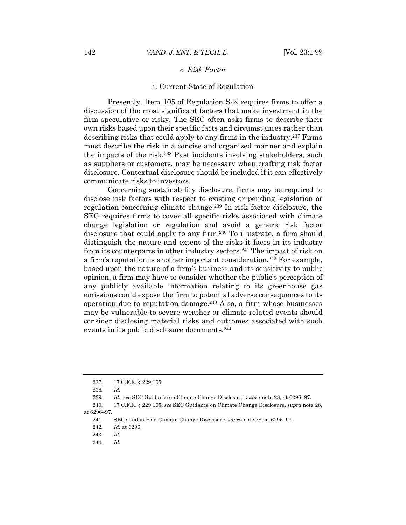## *c. Risk Factor*

#### i. Current State of Regulation

Presently, Item 105 of Regulation S-K requires firms to offer a discussion of the most significant factors that make investment in the firm speculative or risky. The SEC often asks firms to describe their own risks based upon their specific facts and circumstances rather than describing risks that could apply to any firms in the industry.237 Firms must describe the risk in a concise and organized manner and explain the impacts of the risk.238 Past incidents involving stakeholders, such as suppliers or customers, may be necessary when crafting risk factor disclosure. Contextual disclosure should be included if it can effectively communicate risks to investors.

Concerning sustainability disclosure, firms may be required to disclose risk factors with respect to existing or pending legislation or regulation concerning climate change.239 In risk factor disclosure, the SEC requires firms to cover all specific risks associated with climate change legislation or regulation and avoid a generic risk factor disclosure that could apply to any firm.<sup>240</sup> To illustrate, a firm should distinguish the nature and extent of the risks it faces in its industry from its counterparts in other industry sectors.241 The impact of risk on a firm's reputation is another important consideration.242 For example, based upon the nature of a firm's business and its sensitivity to public opinion, a firm may have to consider whether the public's perception of any publicly available information relating to its greenhouse gas emissions could expose the firm to potential adverse consequences to its operation due to reputation damage. $243$  Also, a firm whose businesses may be vulnerable to severe weather or climate-related events should consider disclosing material risks and outcomes associated with such events in its public disclosure documents.244

<sup>237.</sup> 17 C.F.R. § 229.105.

<sup>238</sup>*. Id.*

<sup>239</sup>*. Id.*; *see* SEC Guidance on Climate Change Disclosure, *supra* note 28, at 6296–97.

<sup>240.</sup> 17 C.F.R. § 229.105; *see* SEC Guidance on Climate Change Disclosure, *supra* note 28, at 6296–97.

<sup>241.</sup> SEC Guidance on Climate Change Disclosure, *supra* note 28, at 6296–97.

<sup>242</sup>*. Id.* at 6296.

<sup>243</sup>*. Id.*

<sup>244</sup>*. Id.*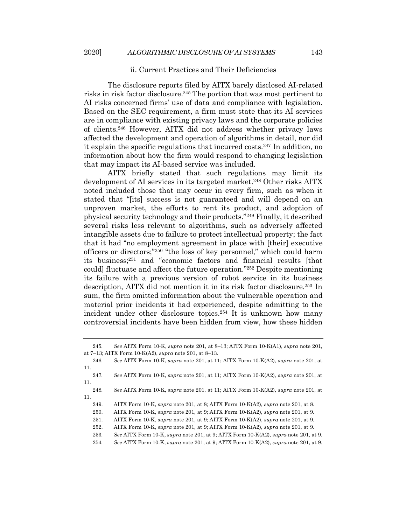#### ii. Current Practices and Their Deficiencies

The disclosure reports filed by AITX barely disclosed AI-related risks in risk factor disclosure.245 The portion that was most pertinent to AI risks concerned firms' use of data and compliance with legislation. Based on the SEC requirement, a firm must state that its AI services are in compliance with existing privacy laws and the corporate policies of clients.246 However, AITX did not address whether privacy laws affected the development and operation of algorithms in detail, nor did it explain the specific regulations that incurred costs.247 In addition, no information about how the firm would respond to changing legislation that may impact its AI-based service was included.

AITX briefly stated that such regulations may limit its development of AI services in its targeted market.<sup>248</sup> Other risks AITX noted included those that may occur in every firm, such as when it stated that "[its] success is not guaranteed and will depend on an unproven market, the efforts to rent its product, and adoption of physical security technology and their products."249 Finally, it described several risks less relevant to algorithms, such as adversely affected intangible assets due to failure to protect intellectual property; the fact that it had "no employment agreement in place with [their] executive officers or directors;"250 "the loss of key personnel," which could harm its business; <sup>251</sup> and "economic factors and financial results [that could] fluctuate and affect the future operation."252 Despite mentioning its failure with a previous version of robot service in its business description, AITX did not mention it in its risk factor disclosure.253 In sum, the firm omitted information about the vulnerable operation and material prior incidents it had experienced, despite admitting to the incident under other disclosure topics.254 It is unknown how many controversial incidents have been hidden from view, how these hidden

<sup>245</sup>*. See* AITX Form 10-K, *supra* note 201, at 8–13; AITX Form 10-K(A1), *supra* note 201, at 7–13; AITX Form 10-K(A2), *supra* note 201, at 8–13.

<sup>246</sup>*. See* AITX Form 10-K, *supra* note 201, at 11; AITX Form 10-K(A2), *supra* note 201, at 11.

<sup>247</sup>*. See* AITX Form 10-K, *supra* note 201, at 11; AITX Form 10-K(A2), *supra* note 201, at 11.

<sup>248</sup>*. See* AITX Form 10-K, *supra* note 201, at 11; AITX Form 10-K(A2), *supra* note 201, at 11.

<sup>249.</sup> AITX Form 10-K, *supra* note 201, at 8; AITX Form 10-K(A2), *supra* note 201, at 8.

<sup>250.</sup> AITX Form 10-K, *supra* note 201, at 9; AITX Form 10-K(A2), *supra* note 201, at 9.

<sup>251.</sup> AITX Form 10-K, *supra* note 201, at 9; AITX Form 10-K(A2), *supra* note 201, at 9.

<sup>252.</sup> AITX Form 10-K, *supra* note 201, at 9; AITX Form 10-K(A2), *supra* note 201, at 9.

<sup>253</sup>*. See* AITX Form 10-K, *supra* note 201, at 9; AITX Form 10-K(A2), *supra* note 201, at 9.

<sup>254</sup>*. See* AITX Form 10-K, *supra* note 201, at 9; AITX Form 10-K(A2), *supra* note 201, at 9.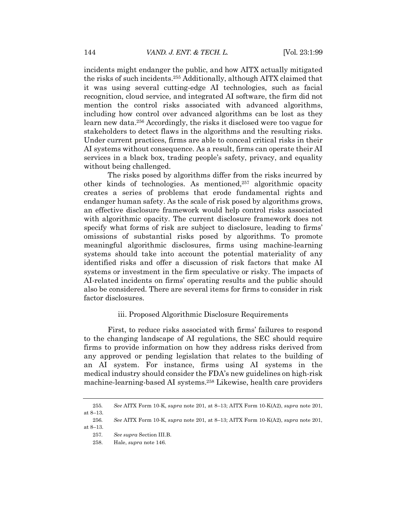incidents might endanger the public, and how AITX actually mitigated the risks of such incidents.255 Additionally, although AITX claimed that it was using several cutting-edge AI technologies, such as facial recognition, cloud service, and integrated AI software, the firm did not mention the control risks associated with advanced algorithms, including how control over advanced algorithms can be lost as they learn new data.256 Accordingly, the risks it disclosed were too vague for stakeholders to detect flaws in the algorithms and the resulting risks. Under current practices, firms are able to conceal critical risks in their AI systems without consequence. As a result, firms can operate their AI services in a black box, trading people's safety, privacy, and equality without being challenged.

The risks posed by algorithms differ from the risks incurred by other kinds of technologies. As mentioned, $257$  algorithmic opacity creates a series of problems that erode fundamental rights and endanger human safety. As the scale of risk posed by algorithms grows, an effective disclosure framework would help control risks associated with algorithmic opacity. The current disclosure framework does not specify what forms of risk are subject to disclosure, leading to firms' omissions of substantial risks posed by algorithms. To promote meaningful algorithmic disclosures, firms using machine-learning systems should take into account the potential materiality of any identified risks and offer a discussion of risk factors that make AI systems or investment in the firm speculative or risky. The impacts of AI-related incidents on firms' operating results and the public should also be considered. There are several items for firms to consider in risk factor disclosures.

#### iii. Proposed Algorithmic Disclosure Requirements

First, to reduce risks associated with firms' failures to respond to the changing landscape of AI regulations, the SEC should require firms to provide information on how they address risks derived from any approved or pending legislation that relates to the building of an AI system. For instance, firms using AI systems in the medical industry should consider the FDA's new guidelines on high-risk machine-learning-based AI systems.258 Likewise, health care providers

257*. See supra* Section III.B.

<sup>255</sup>*. See* AITX Form 10-K, *supra* note 201, at 8–13; AITX Form 10-K(A2), *supra* note 201, at 8–13.

<sup>256</sup>*. See* AITX Form 10-K, *supra* note 201, at 8–13; AITX Form 10-K(A2), *supra* note 201, at 8–13.

<sup>258.</sup> Hale, *supra* note 146.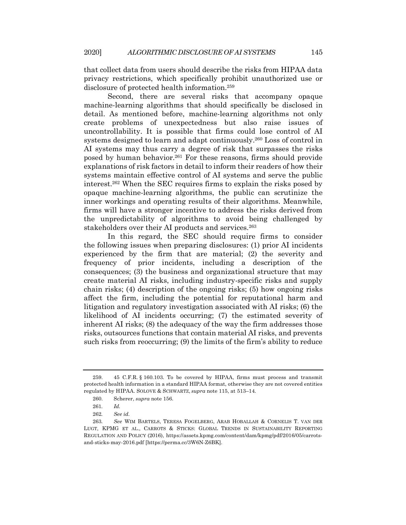that collect data from users should describe the risks from HIPAA data privacy restrictions, which specifically prohibit unauthorized use or disclosure of protected health information.259

Second, there are several risks that accompany opaque machine-learning algorithms that should specifically be disclosed in detail. As mentioned before, machine-learning algorithms not only create problems of unexpectedness but also raise issues of uncontrollability. It is possible that firms could lose control of AI systems designed to learn and adapt continuously.260 Loss of control in AI systems may thus carry a degree of risk that surpasses the risks posed by human behavior.261 For these reasons, firms should provide explanations of risk factors in detail to inform their readers of how their systems maintain effective control of AI systems and serve the public interest.262 When the SEC requires firms to explain the risks posed by opaque machine-learning algorithms, the public can scrutinize the inner workings and operating results of their algorithms. Meanwhile, firms will have a stronger incentive to address the risks derived from the unpredictability of algorithms to avoid being challenged by stakeholders over their AI products and services.<sup>263</sup>

In this regard, the SEC should require firms to consider the following issues when preparing disclosures: (1) prior AI incidents experienced by the firm that are material; (2) the severity and frequency of prior incidents, including a description of the consequences; (3) the business and organizational structure that may create material AI risks, including industry-specific risks and supply chain risks; (4) description of the ongoing risks; (5) how ongoing risks affect the firm, including the potential for reputational harm and litigation and regulatory investigation associated with AI risks; (6) the likelihood of AI incidents occurring; (7) the estimated severity of inherent AI risks; (8) the adequacy of the way the firm addresses those risks, outsources functions that contain material AI risks, and prevents such risks from reoccurring; (9) the limits of the firm's ability to reduce

<sup>259.</sup> 45 C.F.R. § 160.103. To be covered by HIPAA, firms must process and transmit protected health information in a standard HIPAA format, otherwise they are not covered entities regulated by HIPAA. SOLOVE & SCHWARTZ, *supra* note 115, at 513–14.

<sup>260.</sup> Scherer, *supra* note 156.

<sup>261</sup>*. Id.*

<sup>262</sup>*. See id.*

<sup>263</sup>*. See* WIM BARTELS, TERESA FOGELBERG, ARAB HOBALLAH & CORNELIS T. VAN DER LUGT, KPMG ET AL., CARROTS & STICKS: GLOBAL TRENDS IN SUSTAINABILITY REPORTING REGULATION AND POLICY (2016), https://assets.kpmg.com/content/dam/kpmg/pdf/2016/05/carrotsand-sticks-may-2016.pdf [https://perma.cc/3W6N-Z6BK].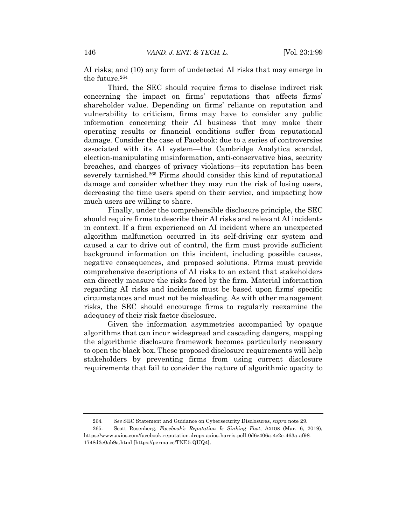AI risks; and (10) any form of undetected AI risks that may emerge in the future.264

Third, the SEC should require firms to disclose indirect risk concerning the impact on firms' reputations that affects firms' shareholder value. Depending on firms' reliance on reputation and vulnerability to criticism, firms may have to consider any public information concerning their AI business that may make their operating results or financial conditions suffer from reputational damage. Consider the case of Facebook: due to a series of controversies associated with its AI system—the Cambridge Analytica scandal, election-manipulating misinformation, anti-conservative bias, security breaches, and charges of privacy violations—its reputation has been severely tarnished.265 Firms should consider this kind of reputational damage and consider whether they may run the risk of losing users, decreasing the time users spend on their service, and impacting how much users are willing to share.

Finally, under the comprehensible disclosure principle, the SEC should require firms to describe their AI risks and relevant AI incidents in context. If a firm experienced an AI incident where an unexpected algorithm malfunction occurred in its self-driving car system and caused a car to drive out of control, the firm must provide sufficient background information on this incident, including possible causes, negative consequences, and proposed solutions. Firms must provide comprehensive descriptions of AI risks to an extent that stakeholders can directly measure the risks faced by the firm. Material information regarding AI risks and incidents must be based upon firms' specific circumstances and must not be misleading. As with other management risks, the SEC should encourage firms to regularly reexamine the adequacy of their risk factor disclosure.

Given the information asymmetries accompanied by opaque algorithms that can incur widespread and cascading dangers, mapping the algorithmic disclosure framework becomes particularly necessary to open the black box. These proposed disclosure requirements will help stakeholders by preventing firms from using current disclosure requirements that fail to consider the nature of algorithmic opacity to

<sup>264</sup>*. See* SEC Statement and Guidance on Cybersecurity Disclosures, *supra* note 29.

<sup>265.</sup> Scott Rosenberg, *Facebook's Reputation Is Sinking Fast*, AXIOS (Mar. 6, 2019), https://www.axios.com/facebook-reputation-drops-axios-harris-poll-0d6c406a-4c2e-463a-af98- 1748d3e0ab9a.html [https://perma.cc/TNE5-QUQ4].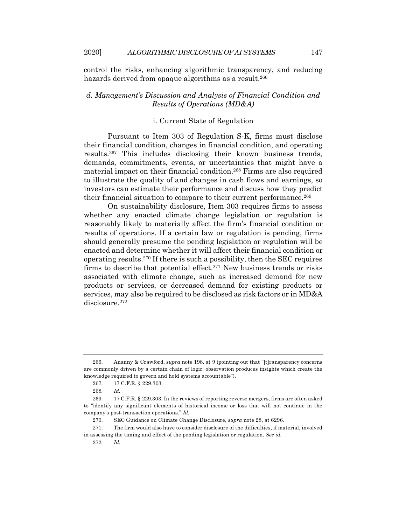control the risks, enhancing algorithmic transparency, and reducing hazards derived from opaque algorithms as a result.<sup>266</sup>

## *d. Management's Discussion and Analysis of Financial Condition and Results of Operations (MD&A)*

## i. Current State of Regulation

Pursuant to Item 303 of Regulation S-K, firms must disclose their financial condition, changes in financial condition, and operating results.267 This includes disclosing their known business trends, demands, commitments, events, or uncertainties that might have a material impact on their financial condition.268 Firms are also required to illustrate the quality of and changes in cash flows and earnings, so investors can estimate their performance and discuss how they predict their financial situation to compare to their current performance.<sup>269</sup>

On sustainability disclosure, Item 303 requires firms to assess whether any enacted climate change legislation or regulation is reasonably likely to materially affect the firm's financial condition or results of operations. If a certain law or regulation is pending, firms should generally presume the pending legislation or regulation will be enacted and determine whether it will affect their financial condition or operating results.270 If there is such a possibility, then the SEC requires firms to describe that potential effect.271 New business trends or risks associated with climate change, such as increased demand for new products or services, or decreased demand for existing products or services, may also be required to be disclosed as risk factors or in MD&A disclosure.272

<sup>266.</sup> Ananny & Crawford, *supra* note 198, at 9 (pointing out that "[t]ransparency concerns are commonly driven by a certain chain of logic: observation produces insights which create the knowledge required to govern and hold systems accountable").

<sup>267.</sup> 17 C.F.R. § 229.303.

<sup>268</sup>*. Id.*

<sup>269.</sup> 17 C.F.R. § 229.303. In the reviews of reporting reverse mergers, firms are often asked to "identify any significant elements of historical income or loss that will not continue in the company's post-transaction operations." *Id.*

<sup>270.</sup> SEC Guidance on Climate Change Disclosure, *supra* note 28, at 6296.

<sup>271.</sup> The firm would also have to consider disclosure of the difficulties, if material, involved in assessing the timing and effect of the pending legislation or regulation. *See id.*

<sup>272</sup>*. Id.*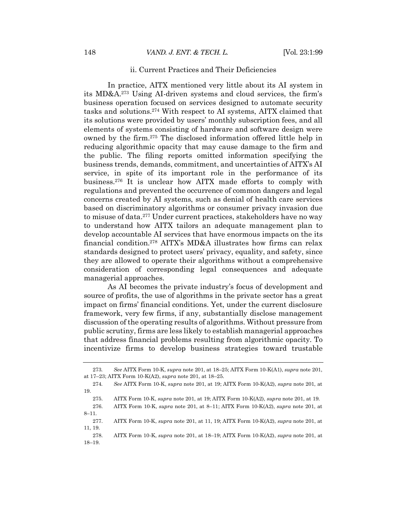#### ii. Current Practices and Their Deficiencies

In practice, AITX mentioned very little about its AI system in its MD&A.273 Using AI-driven systems and cloud services, the firm's business operation focused on services designed to automate security tasks and solutions.274 With respect to AI systems, AITX claimed that its solutions were provided by users' monthly subscription fees, and all elements of systems consisting of hardware and software design were owned by the firm.275 The disclosed information offered little help in reducing algorithmic opacity that may cause damage to the firm and the public. The filing reports omitted information specifying the business trends, demands, commitment, and uncertainties of AITX's AI service, in spite of its important role in the performance of its business.276 It is unclear how AITX made efforts to comply with regulations and prevented the occurrence of common dangers and legal concerns created by AI systems, such as denial of health care services based on discriminatory algorithms or consumer privacy invasion due to misuse of data.277 Under current practices, stakeholders have no way to understand how AITX tailors an adequate management plan to develop accountable AI services that have enormous impacts on the its financial condition.278 AITX's MD&A illustrates how firms can relax standards designed to protect users' privacy, equality, and safety, since they are allowed to operate their algorithms without a comprehensive consideration of corresponding legal consequences and adequate managerial approaches.

As AI becomes the private industry's focus of development and source of profits, the use of algorithms in the private sector has a great impact on firms' financial conditions. Yet, under the current disclosure framework, very few firms, if any, substantially disclose management discussion of the operating results of algorithms. Without pressure from public scrutiny, firms are less likely to establish managerial approaches that address financial problems resulting from algorithmic opacity. To incentivize firms to develop business strategies toward trustable

<sup>273</sup>*. See* AITX Form 10-K, *supra* note 201, at 18–25; AITX Form 10-K(A1), *supra* note 201, at 17–23; AITX Form 10-K(A2), *supra* note 201, at 18–25.

<sup>274</sup>*. See* AITX Form 10-K, *supra* note 201, at 19; AITX Form 10-K(A2), *supra* note 201, at 19.

<sup>275.</sup> AITX Form 10-K, *supra* note 201, at 19; AITX Form 10-K(A2), *supra* note 201, at 19.

<sup>276.</sup> AITX Form 10-K, *supra* note 201, at 8–11; AITX Form 10-K(A2), *supra* note 201, at 8–11.

<sup>277.</sup> AITX Form 10-K, *supra* note 201, at 11, 19; AITX Form 10-K(A2), *supra* note 201, at 11, 19.

<sup>278.</sup> AITX Form 10-K, *supra* note 201, at 18–19; AITX Form 10-K(A2), *supra* note 201, at 18–19.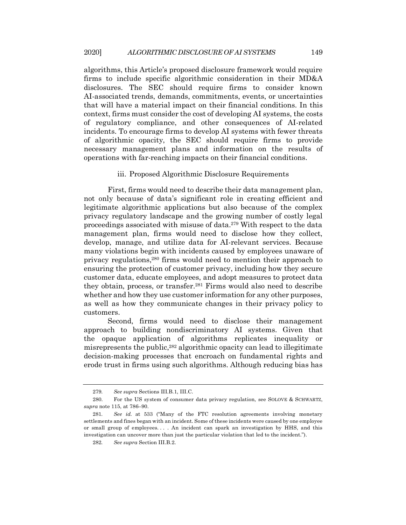algorithms, this Article's proposed disclosure framework would require firms to include specific algorithmic consideration in their MD&A disclosures. The SEC should require firms to consider known AI-associated trends, demands, commitments, events, or uncertainties that will have a material impact on their financial conditions. In this context, firms must consider the cost of developing AI systems, the costs of regulatory compliance, and other consequences of AI-related incidents. To encourage firms to develop AI systems with fewer threats of algorithmic opacity, the SEC should require firms to provide necessary management plans and information on the results of operations with far-reaching impacts on their financial conditions.

#### iii. Proposed Algorithmic Disclosure Requirements

First, firms would need to describe their data management plan, not only because of data's significant role in creating efficient and legitimate algorithmic applications but also because of the complex privacy regulatory landscape and the growing number of costly legal proceedings associated with misuse of data.279 With respect to the data management plan, firms would need to disclose how they collect, develop, manage, and utilize data for AI-relevant services. Because many violations begin with incidents caused by employees unaware of privacy regulations,280 firms would need to mention their approach to ensuring the protection of customer privacy, including how they secure customer data, educate employees, and adopt measures to protect data they obtain, process, or transfer.281 Firms would also need to describe whether and how they use customer information for any other purposes, as well as how they communicate changes in their privacy policy to customers.

Second, firms would need to disclose their management approach to building nondiscriminatory AI systems. Given that the opaque application of algorithms replicates inequality or misrepresents the public,282 algorithmic opacity can lead to illegitimate decision-making processes that encroach on fundamental rights and erode trust in firms using such algorithms. Although reducing bias has

<sup>279</sup>*. See supra* Sections III.B.1, III.C.

<sup>280.</sup> For the US system of consumer data privacy regulation, see SOLOVE & SCHWARTZ, *supra* note 115, at 786–90.

<sup>281</sup>*. See id.* at 533 ("Many of the FTC resolution agreements involving monetary settlements and fines began with an incident. Some of these incidents were caused by one employee or small group of employees. . . . An incident can spark an investigation by HHS, and this investigation can uncover more than just the particular violation that led to the incident.").

<sup>282</sup>*. See supra* Section III.B.2.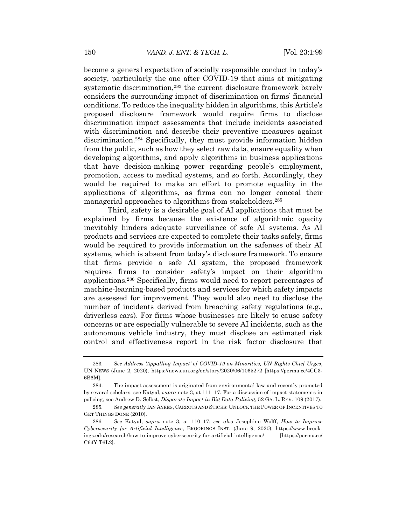become a general expectation of socially responsible conduct in today's society, particularly the one after COVID-19 that aims at mitigating systematic discrimination, <sup>283</sup> the current disclosure framework barely considers the surrounding impact of discrimination on firms' financial conditions. To reduce the inequality hidden in algorithms, this Article's proposed disclosure framework would require firms to disclose discrimination impact assessments that include incidents associated with discrimination and describe their preventive measures against discrimination.284 Specifically, they must provide information hidden from the public, such as how they select raw data, ensure equality when developing algorithms, and apply algorithms in business applications that have decision-making power regarding people's employment, promotion, access to medical systems, and so forth. Accordingly, they would be required to make an effort to promote equality in the applications of algorithms, as firms can no longer conceal their managerial approaches to algorithms from stakeholders.285

Third, safety is a desirable goal of AI applications that must be explained by firms because the existence of algorithmic opacity inevitably hinders adequate surveillance of safe AI systems. As AI products and services are expected to complete their tasks safely, firms would be required to provide information on the safeness of their AI systems, which is absent from today's disclosure framework. To ensure that firms provide a safe AI system, the proposed framework requires firms to consider safety's impact on their algorithm applications.286 Specifically, firms would need to report percentages of machine-learning-based products and services for which safety impacts are assessed for improvement. They would also need to disclose the number of incidents derived from breaching safety regulations (e.g., driverless cars). For firms whose businesses are likely to cause safety concerns or are especially vulnerable to severe AI incidents, such as the autonomous vehicle industry, they must disclose an estimated risk control and effectiveness report in the risk factor disclosure that

<sup>283</sup>*. See Address 'Appalling Impact' of COVID-19 on Minorities, UN Rights Chief Urges*, UN NEWS (June 2, 2020), https://news.un.org/en/story/2020/06/1065272 [https://perma.cc/4CC3- 6B6M].

<sup>284.</sup> The impact assessment is originated from environmental law and recently promoted by several scholars, see Katyal, *supra* note 3, at 111–17. For a discussion of impact statements in policing, see Andrew D. Selbst, *Disparate Impact in Big Data Policing*, 52 GA. L. REV. 109 (2017).

<sup>285</sup>*. See generally* IAN AYRES, CARROTS AND STICKS: UNLOCK THE POWER OF INCENTIVES TO GET THINGS DONE (2010).

<sup>286</sup>*. See* Katyal, *supra* note 3, at 110–17; *see also* Josephine Wolff, *How to Improve Cybersecurity for Artificial Intelligence*, BROOKINGS INST. (June 9, 2020), https://www.brookings.edu/research/how-to-improve-cybersecurity-for-artificial-intelligence/ [https://perma.cc/ C64Y-T6L2].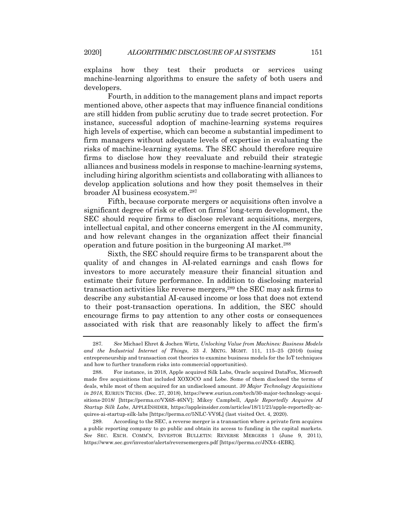explains how they test their products or services using machine-learning algorithms to ensure the safety of both users and developers.

Fourth, in addition to the management plans and impact reports mentioned above, other aspects that may influence financial conditions are still hidden from public scrutiny due to trade secret protection. For instance, successful adoption of machine-learning systems requires high levels of expertise, which can become a substantial impediment to firm managers without adequate levels of expertise in evaluating the risks of machine-learning systems. The SEC should therefore require firms to disclose how they reevaluate and rebuild their strategic alliances and business models in response to machine-learning systems, including hiring algorithm scientists and collaborating with alliances to develop application solutions and how they posit themselves in their broader AI business ecosystem.287

Fifth, because corporate mergers or acquisitions often involve a significant degree of risk or effect on firms' long-term development, the SEC should require firms to disclose relevant acquisitions, mergers, intellectual capital, and other concerns emergent in the AI community, and how relevant changes in the organization affect their financial operation and future position in the burgeoning AI market.288

Sixth, the SEC should require firms to be transparent about the quality of and changes in AI-related earnings and cash flows for investors to more accurately measure their financial situation and estimate their future performance. In addition to disclosing material transaction activities like reverse mergers,289 the SEC may ask firms to describe any substantial AI-caused income or loss that does not extend to their post-transaction operations. In addition, the SEC should encourage firms to pay attention to any other costs or consequences associated with risk that are reasonably likely to affect the firm's

<sup>287</sup>*. See* Michael Ehret & Jochen Wirtz, *Unlocking Value from Machines: Business Models and the Industrial Internet of Things*, 33 J. MKTG. MGMT. 111, 115–25 (2016) (using entrepreneurship and transaction cost theories to examine business models for the IoT techniques and how to further transform risks into commercial opportunities).

<sup>288.</sup> For instance, in 2018, Apple acquired Silk Labs, Oracle acquired DataFox, Microsoft made five acquisitions that included XOXOCO and Lobe. Some of them disclosed the terms of deals, while most of them acquired for an undisclosed amount. *30 Major Technology Acquisitions in 2018*, EURIUN TECHS. (Dec. 27, 2018), https://www.euriun.com/tech/30-major-technology-acquisitions-2018/ [https://perma.cc/VX6S-46NV]; Mikey Campbell, *Apple Reportedly Acquires AI Startup Silk Labs*, APPLEINSIDER, https://appleinsider.com/articles/18/11/21/apple-reportedly-acquires-ai-startup-silk-labs [https://perma.cc/5NLC-VV9L] (last visited Oct. 4, 2020).

<sup>289.</sup> According to the SEC, a reverse merger is a transaction where a private firm acquires a public reporting company to go public and obtain its access to funding in the capital markets. *See* SEC. EXCH. COMM'N, INVESTOR BULLETIN: REVERSE MERGERS 1 (June 9, 2011), https://www.sec.gov/investor/alerts/reversemergers.pdf [https://perma.cc/JNX4-4EBK].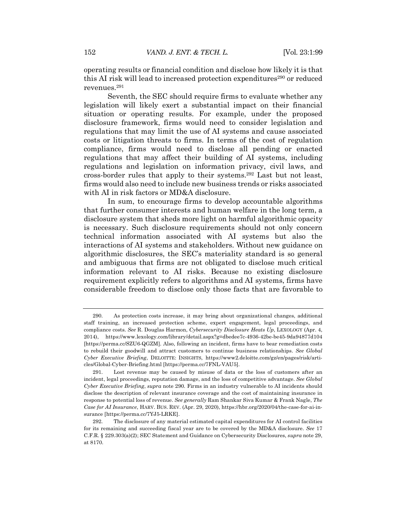operating results or financial condition and disclose how likely it is that this AI risk will lead to increased protection expenditures<sup>290</sup> or reduced revenues.291

Seventh, the SEC should require firms to evaluate whether any legislation will likely exert a substantial impact on their financial situation or operating results. For example, under the proposed disclosure framework, firms would need to consider legislation and regulations that may limit the use of AI systems and cause associated costs or litigation threats to firms. In terms of the cost of regulation compliance, firms would need to disclose all pending or enacted regulations that may affect their building of AI systems, including regulations and legislation on information privacy, civil laws, and cross-border rules that apply to their systems.292 Last but not least, firms would also need to include new business trends or risks associated with AI in risk factors or MD&A disclosure.

In sum, to encourage firms to develop accountable algorithms that further consumer interests and human welfare in the long term, a disclosure system that sheds more light on harmful algorithmic opacity is necessary. Such disclosure requirements should not only concern technical information associated with AI systems but also the interactions of AI systems and stakeholders. Without new guidance on algorithmic disclosures, the SEC's materiality standard is so general and ambiguous that firms are not obligated to disclose much critical information relevant to AI risks. Because no existing disclosure requirement explicitly refers to algorithms and AI systems, firms have considerable freedom to disclose only those facts that are favorable to

<sup>290.</sup> As protection costs increase, it may bring about organizational changes, additional staff training, an increased protection scheme, expert engagement, legal proceedings, and compliance costs. *See* R. Douglas Harmon, *Cybersecurity Disclosure Heats Up*, LEXOLOGY (Apr. 4, 2014), https://www.lexology.com/library/detail.aspx?g=dbedee7c-4936-42be-be45-9da94877d104 [https://perma.cc/SZU6-QGZM]. Also, following an incident, firms have to bear remediation costs to rebuild their goodwill and attract customers to continue business relationships. *See Global Cyber Executive Briefing*, DELOITTE: INSIGHTS, https://www2.deloitte.com/gz/en/pages/risk/articles/Global-Cyber-Briefing.html [https://perma.cc/7FNL-VAU5].

<sup>291.</sup> Lost revenue may be caused by misuse of data or the loss of customers after an incident, legal proceedings, reputation damage, and the loss of competitive advantage. *See Global Cyber Executive Briefing*, *supra* note 290. Firms in an industry vulnerable to AI incidents should disclose the description of relevant insurance coverage and the cost of maintaining insurance in response to potential loss of revenue. *See generally* Ram Shankar Siva Kumar & Frank Nagle, *The Case for AI Insurance*, HARV. BUS. REV. (Apr. 29, 2020), https://hbr.org/2020/04/the-case-for-ai-insurance [https://perma.cc/7YJ5-LRKE].

<sup>292.</sup> The disclosure of any material estimated capital expenditures for AI control facilities for its remaining and succeeding fiscal year are to be covered by the MD&A disclosure. *See* 17 C.F.R. § 229.303(a)(2); SEC Statement and Guidance on Cybersecurity Disclosures, *supra* note 29, at 8170.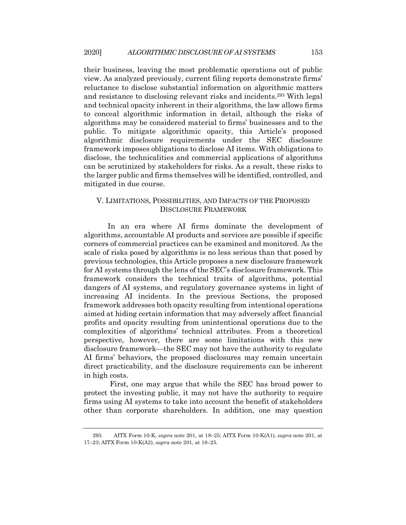their business, leaving the most problematic operations out of public view. As analyzed previously, current filing reports demonstrate firms' reluctance to disclose substantial information on algorithmic matters and resistance to disclosing relevant risks and incidents.293 With legal and technical opacity inherent in their algorithms, the law allows firms to conceal algorithmic information in detail, although the risks of algorithms may be considered material to firms' businesses and to the public. To mitigate algorithmic opacity, this Article's proposed algorithmic disclosure requirements under the SEC disclosure framework imposes obligations to disclose AI items. With obligations to disclose, the technicalities and commercial applications of algorithms can be scrutinized by stakeholders for risks. As a result, these risks to the larger public and firms themselves will be identified, controlled, and mitigated in due course.

## V. LIMITATIONS, POSSIBILITIES, AND IMPACTS OF THE PROPOSED DISCLOSURE FRAMEWORK

In an era where AI firms dominate the development of algorithms, accountable AI products and services are possible if specific corners of commercial practices can be examined and monitored. As the scale of risks posed by algorithms is no less serious than that posed by previous technologies, this Article proposes a new disclosure framework for AI systems through the lens of the SEC's disclosure framework. This framework considers the technical traits of algorithms, potential dangers of AI systems, and regulatory governance systems in light of increasing AI incidents. In the previous Sections, the proposed framework addresses both opacity resulting from intentional operations aimed at hiding certain information that may adversely affect financial profits and opacity resulting from unintentional operations due to the complexities of algorithms' technical attributes. From a theoretical perspective, however, there are some limitations with this new disclosure framework—the SEC may not have the authority to regulate AI firms' behaviors, the proposed disclosures may remain uncertain direct practicability, and the disclosure requirements can be inherent in high costs.

First, one may argue that while the SEC has broad power to protect the investing public, it may not have the authority to require firms using AI systems to take into account the benefit of stakeholders other than corporate shareholders. In addition, one may question

<sup>293.</sup> AITX Form 10-K, *supra* note 201, at 18–25; AITX Form 10-K(A1), *supra* note 201, at 17–23; AITX Form 10-K(A2), *supra* note 201, at 18–25.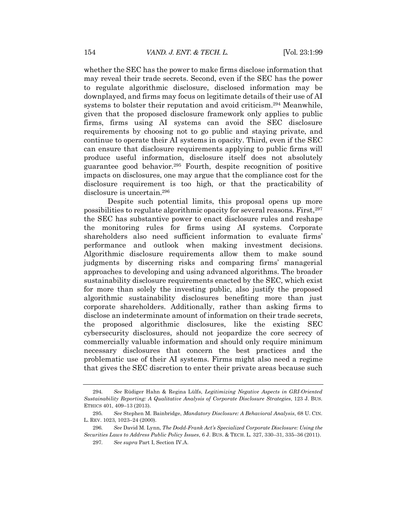whether the SEC has the power to make firms disclose information that may reveal their trade secrets. Second, even if the SEC has the power to regulate algorithmic disclosure, disclosed information may be downplayed, and firms may focus on legitimate details of their use of AI systems to bolster their reputation and avoid criticism.294 Meanwhile, given that the proposed disclosure framework only applies to public firms, firms using AI systems can avoid the SEC disclosure requirements by choosing not to go public and staying private, and continue to operate their AI systems in opacity. Third, even if the SEC can ensure that disclosure requirements applying to public firms will produce useful information, disclosure itself does not absolutely guarantee good behavior.295 Fourth, despite recognition of positive impacts on disclosures, one may argue that the compliance cost for the disclosure requirement is too high, or that the practicability of disclosure is uncertain.296

Despite such potential limits, this proposal opens up more possibilities to regulate algorithmic opacity for several reasons. First,297 the SEC has substantive power to enact disclosure rules and reshape the monitoring rules for firms using AI systems. Corporate shareholders also need sufficient information to evaluate firms' performance and outlook when making investment decisions. Algorithmic disclosure requirements allow them to make sound judgments by discerning risks and comparing firms' managerial approaches to developing and using advanced algorithms. The broader sustainability disclosure requirements enacted by the SEC, which exist for more than solely the investing public, also justify the proposed algorithmic sustainability disclosures benefiting more than just corporate shareholders. Additionally, rather than asking firms to disclose an indeterminate amount of information on their trade secrets, the proposed algorithmic disclosures, like the existing SEC cybersecurity disclosures, should not jeopardize the core secrecy of commercially valuable information and should only require minimum necessary disclosures that concern the best practices and the problematic use of their AI systems. Firms might also need a regime that gives the SEC discretion to enter their private areas because such

<sup>294</sup>*. See* Rüdiger Hahn & Regina Lülfs, *Legitimizing Negative Aspects in GRI-Oriented Sustainability Reporting: A Qualitative Analysis of Corporate Disclosure Strategies*, 123 J. BUS. ETHICS 401, 409–13 (2013).

<sup>295</sup>*. See* Stephen M. Bainbridge, *Mandatory Disclosure: A Behavioral Analysis*, 68 U. CIN. L. REV. 1023, 1023–24 (2000).

<sup>296</sup>*. See* David M. Lynn, *The Dodd-Frank Act's Specialized Corporate Disclosure: Using the Securities Laws to Address Public Policy Issues*, 6 J. BUS. & TECH. L. 327, 330–31, 335–36 (2011). 297*. See supra* Part I, Section IV.A.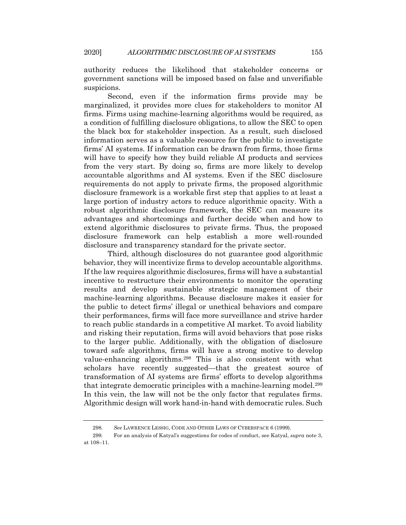authority reduces the likelihood that stakeholder concerns or government sanctions will be imposed based on false and unverifiable suspicions.

Second, even if the information firms provide may be marginalized, it provides more clues for stakeholders to monitor AI firms. Firms using machine-learning algorithms would be required, as a condition of fulfilling disclosure obligations, to allow the SEC to open the black box for stakeholder inspection. As a result, such disclosed information serves as a valuable resource for the public to investigate firms' AI systems. If information can be drawn from firms, those firms will have to specify how they build reliable AI products and services from the very start. By doing so, firms are more likely to develop accountable algorithms and AI systems. Even if the SEC disclosure requirements do not apply to private firms, the proposed algorithmic disclosure framework is a workable first step that applies to at least a large portion of industry actors to reduce algorithmic opacity. With a robust algorithmic disclosure framework, the SEC can measure its advantages and shortcomings and further decide when and how to extend algorithmic disclosures to private firms. Thus, the proposed disclosure framework can help establish a more well-rounded disclosure and transparency standard for the private sector.

Third, although disclosures do not guarantee good algorithmic behavior, they will incentivize firms to develop accountable algorithms. If the law requires algorithmic disclosures, firms will have a substantial incentive to restructure their environments to monitor the operating results and develop sustainable strategic management of their machine-learning algorithms. Because disclosure makes it easier for the public to detect firms' illegal or unethical behaviors and compare their performances, firms will face more surveillance and strive harder to reach public standards in a competitive AI market. To avoid liability and risking their reputation, firms will avoid behaviors that pose risks to the larger public. Additionally, with the obligation of disclosure toward safe algorithms, firms will have a strong motive to develop value-enhancing algorithms.298 This is also consistent with what scholars have recently suggested—that the greatest source of transformation of AI systems are firms' efforts to develop algorithms that integrate democratic principles with a machine-learning model.299 In this vein, the law will not be the only factor that regulates firms. Algorithmic design will work hand-in-hand with democratic rules. Such

<sup>298</sup>*. See* LAWRENCE LESSIG, CODE AND OTHER LAWS OF CYBERSPACE 6 (1999).

<sup>299</sup>*.* For an analysis of Katyal's suggestions for codes of conduct, see Katyal, *supra* note 3, at 108–11.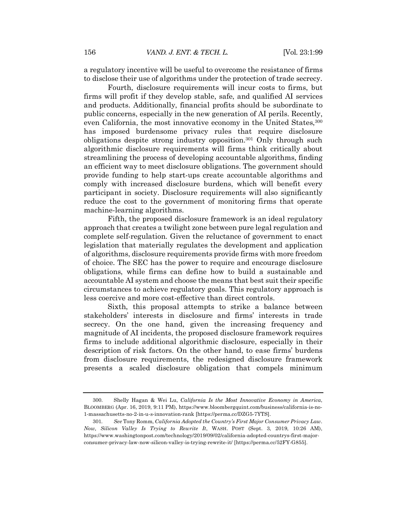a regulatory incentive will be useful to overcome the resistance of firms to disclose their use of algorithms under the protection of trade secrecy.

Fourth, disclosure requirements will incur costs to firms, but firms will profit if they develop stable, safe, and qualified AI services and products. Additionally, financial profits should be subordinate to public concerns, especially in the new generation of AI perils. Recently, even California, the most innovative economy in the United States,300 has imposed burdensome privacy rules that require disclosure obligations despite strong industry opposition.301 Only through such algorithmic disclosure requirements will firms think critically about streamlining the process of developing accountable algorithms, finding an efficient way to meet disclosure obligations. The government should provide funding to help start-ups create accountable algorithms and comply with increased disclosure burdens, which will benefit every participant in society. Disclosure requirements will also significantly reduce the cost to the government of monitoring firms that operate machine-learning algorithms.

Fifth, the proposed disclosure framework is an ideal regulatory approach that creates a twilight zone between pure legal regulation and complete self-regulation. Given the reluctance of government to enact legislation that materially regulates the development and application of algorithms, disclosure requirements provide firms with more freedom of choice. The SEC has the power to require and encourage disclosure obligations, while firms can define how to build a sustainable and accountable AI system and choose the means that best suit their specific circumstances to achieve regulatory goals. This regulatory approach is less coercive and more cost-effective than direct controls.

Sixth, this proposal attempts to strike a balance between stakeholders' interests in disclosure and firms' interests in trade secrecy. On the one hand, given the increasing frequency and magnitude of AI incidents, the proposed disclosure framework requires firms to include additional algorithmic disclosure, especially in their description of risk factors. On the other hand, to ease firms' burdens from disclosure requirements, the redesigned disclosure framework presents a scaled disclosure obligation that compels minimum

<sup>300.</sup> Shelly Hagan & Wei Lu, *California Is the Most Innovative Economy in America*, BLOOMBERG (Apr. 16, 2019, 9:11 PM), https://www.bloombergquint.com/business/california-is-no-1-massachusetts-no-2-in-u-s-innovation-rank [https://perma.cc/DZG5-7YTS].

<sup>301</sup>*. See* Tony Romm, *California Adopted the Country's First Major Consumer Privacy Law. Now, Silicon Valley Is Trying to Rewrite It*, WASH. POST (Sept. 3, 2019, 10:26 AM), https://www.washingtonpost.com/technology/2019/09/02/california-adopted-countrys-first-majorconsumer-privacy-law-now-silicon-valley-is-trying-rewrite-it/ [https://perma.cc/52FY-G855].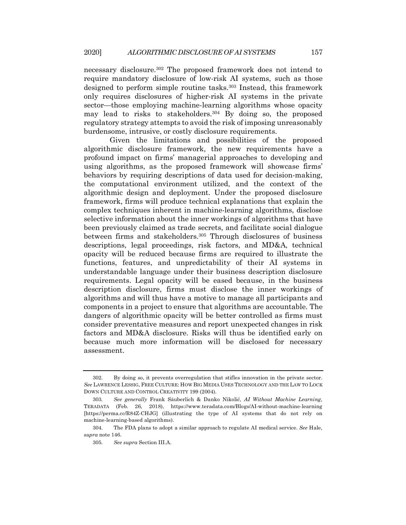necessary disclosure.302 The proposed framework does not intend to require mandatory disclosure of low-risk AI systems, such as those designed to perform simple routine tasks.303 Instead, this framework only requires disclosures of higher-risk AI systems in the private sector—those employing machine-learning algorithms whose opacity may lead to risks to stakeholders.304 By doing so, the proposed regulatory strategy attempts to avoid the risk of imposing unreasonably burdensome, intrusive, or costly disclosure requirements.

Given the limitations and possibilities of the proposed algorithmic disclosure framework, the new requirements have a profound impact on firms' managerial approaches to developing and using algorithms, as the proposed framework will showcase firms' behaviors by requiring descriptions of data used for decision-making, the computational environment utilized, and the context of the algorithmic design and deployment. Under the proposed disclosure framework, firms will produce technical explanations that explain the complex techniques inherent in machine-learning algorithms, disclose selective information about the inner workings of algorithms that have been previously claimed as trade secrets, and facilitate social dialogue between firms and stakeholders.305 Through disclosures of business descriptions, legal proceedings, risk factors, and MD&A, technical opacity will be reduced because firms are required to illustrate the functions, features, and unpredictability of their AI systems in understandable language under their business description disclosure requirements. Legal opacity will be eased because, in the business description disclosure, firms must disclose the inner workings of algorithms and will thus have a motive to manage all participants and components in a project to ensure that algorithms are accountable. The dangers of algorithmic opacity will be better controlled as firms must consider preventative measures and report unexpected changes in risk factors and MD&A disclosure. Risks will thus be identified early on because much more information will be disclosed for necessary assessment.

<sup>302.</sup> By doing so, it prevents overregulation that stifles innovation in the private sector. *See* LAWRENCE LESSIG, FREE CULTURE: HOW BIG MEDIA USES TECHNOLOGY AND THE LAW TO LOCK DOWN CULTURE AND CONTROL CREATIVITY 199 (2004).

<sup>303</sup>*. See generally* Frank Säuberlich & Danko Nikolić, *AI Without Machine Learning*, TERADATA (Feb. 26, 2018), https://www.teradata.com/Blogs/AI-without-machine-learning [https://perma.cc/R84Z-CHJG] (illustrating the type of AI systems that do not rely on machine-learning-based algorithms).

<sup>304.</sup> The FDA plans to adopt a similar approach to regulate AI medical service. *See* Hale, *supra* note 146.

<sup>305</sup>*. See supra* Section III.A.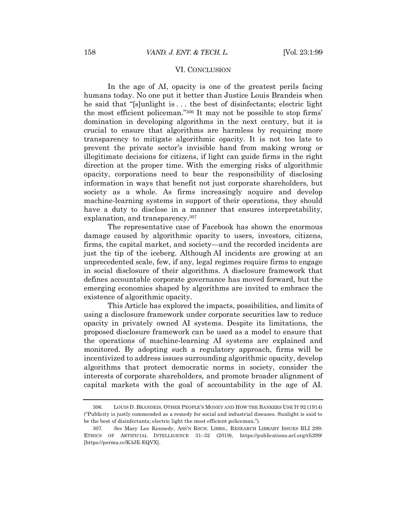#### VI. CONCLUSION

In the age of AI, opacity is one of the greatest perils facing humans today. No one put it better than Justice Louis Brandeis when he said that "[s]unlight is . . . the best of disinfectants; electric light the most efficient policeman."306 It may not be possible to stop firms' domination in developing algorithms in the next century, but it is crucial to ensure that algorithms are harmless by requiring more transparency to mitigate algorithmic opacity. It is not too late to prevent the private sector's invisible hand from making wrong or illegitimate decisions for citizens, if light can guide firms in the right direction at the proper time. With the emerging risks of algorithmic opacity, corporations need to bear the responsibility of disclosing information in ways that benefit not just corporate shareholders, but society as a whole. As firms increasingly acquire and develop machine-learning systems in support of their operations, they should have a duty to disclose in a manner that ensures interpretability, explanation, and transparency.307

The representative case of Facebook has shown the enormous damage caused by algorithmic opacity to users, investors, citizens, firms, the capital market, and society—and the recorded incidents are just the tip of the iceberg. Although AI incidents are growing at an unprecedented scale, few, if any, legal regimes require firms to engage in social disclosure of their algorithms. A disclosure framework that defines accountable corporate governance has moved forward, but the emerging economies shaped by algorithms are invited to embrace the existence of algorithmic opacity.

This Article has explored the impacts, possibilities, and limits of using a disclosure framework under corporate securities law to reduce opacity in privately owned AI systems. Despite its limitations, the proposed disclosure framework can be used as a model to ensure that the operations of machine-learning AI systems are explained and monitored. By adopting such a regulatory approach, firms will be incentivized to address issues surrounding algorithmic opacity, develop algorithms that protect democratic norms in society, consider the interests of corporate shareholders, and promote broader alignment of capital markets with the goal of accountability in the age of AI.

<sup>306.</sup> LOUIS D. BRANDEIS, OTHER PEOPLE'S MONEY AND HOW THE BANKERS USE IT 92 (1914) ("Publicity is justly commended as a remedy for social and industrial diseases. Sunlight is said to be the best of disinfectants; electric light the most efficient policeman.").

<sup>307</sup>*. See* Mary Lee Kennedy, ASS'N RSCH. LIBRS., RESEARCH LIBRARY ISSUES RLI 299: ETHICS OF ARTIFICIAL INTELLIGENCE 31–32 (2019), https://publications.arl.org/rli299/ [https://perma.cc/K3JE-EQVX].